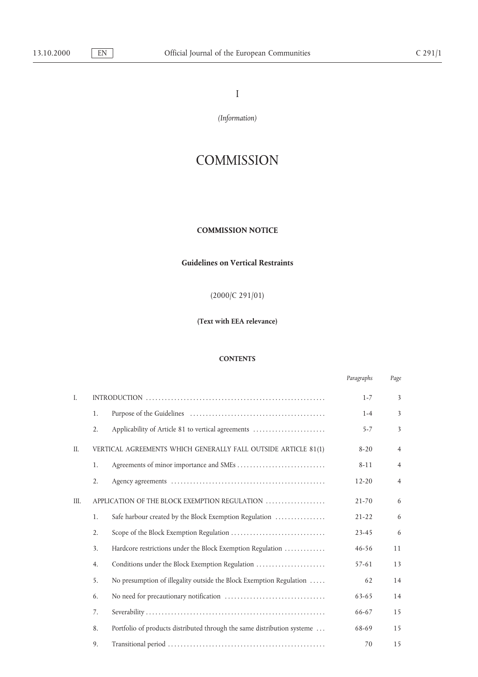I

*(Information)*

## **COMMISSION**

### **COMMISSION NOTICE**

### **Guidelines on Vertical Restraints**

(2000/C 291/01)

**(Text with EEA relevance)**

### **CONTENTS**

|      |                                                                |                                                                         | Paragraphs | Page           |
|------|----------------------------------------------------------------|-------------------------------------------------------------------------|------------|----------------|
| I.   |                                                                |                                                                         | $1 - 7$    | 3              |
|      | 1.                                                             |                                                                         | $1 - 4$    | 3              |
|      | 2.                                                             | Applicability of Article 81 to vertical agreements                      | $5 - 7$    | 3              |
| II.  | VERTICAL AGREEMENTS WHICH GENERALLY FALL OUTSIDE ARTICLE 81(1) |                                                                         | $8 - 20$   | $\overline{4}$ |
|      | 1.                                                             |                                                                         | $8 - 11$   | $\overline{4}$ |
|      | 2.                                                             |                                                                         | $12 - 20$  | $\overline{4}$ |
| III. |                                                                | APPLICATION OF THE BLOCK EXEMPTION REGULATION                           | $21 - 70$  | 6              |
|      | $\mathbf{1}$ .                                                 | Safe harbour created by the Block Exemption Regulation                  | $21 - 22$  | 6              |
|      | 2.                                                             | Scope of the Block Exemption Regulation                                 | $23 - 45$  | 6              |
|      | 3.                                                             | Hardcore restrictions under the Block Exemption Regulation              | $46 - 56$  | 11             |
|      | 4.                                                             | Conditions under the Block Exemption Regulation                         | $57 - 61$  | 13             |
|      | 5.                                                             | No presumption of illegality outside the Block Exemption Regulation     | 62         | 14             |
|      | 6.                                                             |                                                                         | 63-65      | 14             |
|      | 7.                                                             |                                                                         | 66-67      | 15             |
|      | 8.                                                             | Portfolio of products distributed through the same distribution systeme | 68-69      | 15             |
|      | 9.                                                             |                                                                         | 70         | 15             |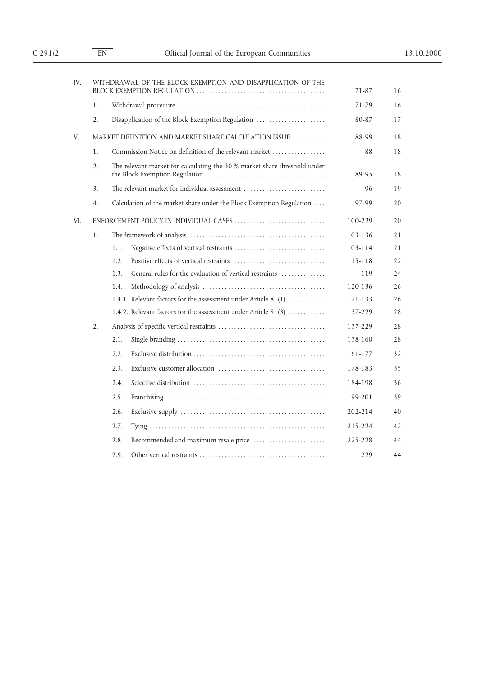| IV. | WITHDRAWAL OF THE BLOCK EXEMPTION AND DISAPPLICATION OF THE |                                                      |                                                                           | 71-87   | 16 |
|-----|-------------------------------------------------------------|------------------------------------------------------|---------------------------------------------------------------------------|---------|----|
|     | 1.                                                          |                                                      |                                                                           | 71-79   | 16 |
|     | 2.                                                          |                                                      | Disapplication of the Block Exemption Regulation                          | 80-87   | 17 |
| V.  |                                                             | MARKET DEFINITION AND MARKET SHARE CALCULATION ISSUE | 88-99                                                                     | 18      |    |
|     | 1.                                                          |                                                      | Commission Notice on definition of the relevant market                    | 88      | 18 |
|     | 2.                                                          |                                                      | The relevant market for calculating the 30 % market share threshold under | 89-95   | 18 |
|     | 3.                                                          |                                                      | The relevant market for individual assessment                             | 96      | 19 |
|     | 4.                                                          |                                                      | Calculation of the market share under the Block Exemption Regulation      | 97-99   | 20 |
| VI. | ENFORCEMENT POLICY IN INDIVIDUAL CASES                      |                                                      |                                                                           | 100-229 | 20 |
|     | 1.                                                          |                                                      |                                                                           | 103-136 | 21 |
|     |                                                             | 1.1.                                                 |                                                                           | 103-114 | 21 |
|     |                                                             | 1.2.                                                 | Positive effects of vertical restraints                                   | 115-118 | 22 |
|     |                                                             | 1.3.                                                 | General rules for the evaluation of vertical restraints                   | 119     | 24 |
|     |                                                             | 1.4.                                                 |                                                                           | 120-136 | 26 |
|     |                                                             |                                                      | 1.4.1. Relevant factors for the assessment under Article 81(1)            | 121-133 | 26 |
|     |                                                             |                                                      | 1.4.2. Relevant factors for the assessment under Article 81(3)            | 137-229 | 28 |
|     | 2.                                                          |                                                      |                                                                           | 137-229 | 28 |
|     |                                                             | 2.1.                                                 |                                                                           | 138-160 | 28 |
|     |                                                             | 2.2.                                                 |                                                                           | 161-177 | 32 |
|     |                                                             | 2.3.                                                 |                                                                           | 178-183 | 35 |
|     |                                                             | 2.4.                                                 |                                                                           | 184-198 | 36 |
|     |                                                             | 2.5.                                                 |                                                                           | 199-201 | 39 |
|     |                                                             | 2.6.                                                 |                                                                           | 202-214 | 40 |
|     |                                                             | 2.7.                                                 |                                                                           | 215-224 | 42 |
|     |                                                             | 2.8.                                                 | Recommended and maximum resale price                                      | 225-228 | 44 |
|     |                                                             | 2.9.                                                 |                                                                           | 229     | 44 |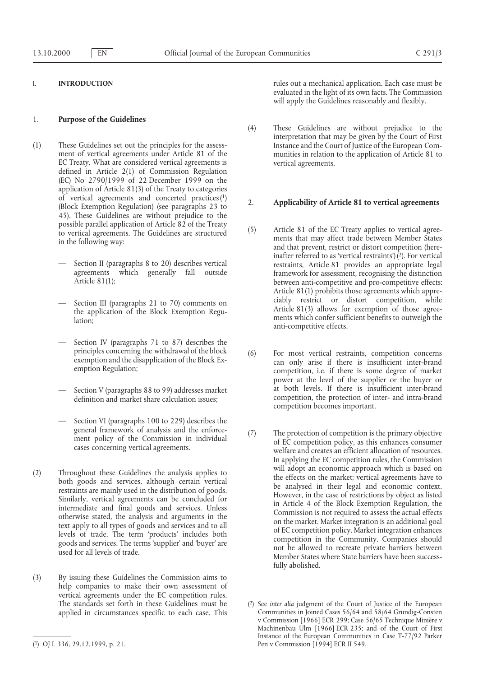### 1. **Purpose of the Guidelines**

- EC Treaty. What are considered vertical agreements is vertical agreements. defined in Article 2(1) of Commission Regulation (EC) No 2790/1999 of 22 December 1999 on the application of Article 81(3) of the Treaty to categories of vertical agreements and concerted practices (1) 2. **Applicability of Article 81 to vertical agreements** (Block Exemption Regulation) (see paragraphs 23 to 45). These Guidelines are without prejudice to the possible parallel application of Article 82 of the Treaty
	-
	-
	- Section IV (paragraphs 71 to 87) describes the
	-
	- Section VI (paragraphs 100 to 229) describes the
- 
- (3) By issuing these Guidelines the Commission aims to help companies to make their own assessment of vertical agreements under the EC competition rules. The standards set forth in these Guidelines must be (2) See *inter alia* judgment of the Court of Justice of the European

I. **INTRODUCTION** rules out a mechanical application. Each case must be evaluated in the light of its own facts. The Commission will apply the Guidelines reasonably and flexibly.

(4) These Guidelines are without prejudice to the interpretation that may be given by the Court of First (1) These Guidelines set out the principles for the assess-<br>ment of vertical agreements under Article 81 of the munities in relation to the application of Article 81 to munities in relation to the application of Article 81 to

- Fossiological application of Finder 62 of the Teaty<br>to vertical agreements. The Guidelines are structured<br>in the following way:<br>and that prevent, restrict or distort competition (here-<br>and that prevent, restrict or distort Section II (paragraphs 8 to 20) describes vertical<br>agreements which generally fall outside framework for assessment, recognising the distinction<br>Article 81(1);<br>Article 81(1); Article 81(1) prohibits those agreements which appre- Section III (paragraphs 21 to 70) comments on ciably restrict or distort competition, while<br>the application of the Block Exemption Requised Article 81(3) allows for exemption of those agreethe application of the Block Exemption Regu-<br>
lation;<br>
anti-competitive effects.<br>
anti-competitive effects.
	- principles concerning the withdrawal of the block (6) For most vertical restraints, competition concerns exemption and the disapplication of the Block Ex-<br>emption Regulation; concerns can only arise if there is insufficien power at the level of the supplier or the buyer or Section V (paragraphs 88 to 99) addresses market at both levels. If there is insufficient inter-brand definition and market share calculation issues;<br>competition, the protection of inter- and intra-brand competition, the protection of inter- and intra-brand competition becomes important.
- general framework of analysis and the enforce-<br>ment policy of the Commission in individual cases concerning vertical agreements.<br>cases concerning vertical agreements.<br>welfare and creates an efficient allocation of resource In applying the EC competition rules, the Commission (2) Throughout these Guidelines the analysis applies to will adopt an economic approach which is based on both goods and services, although certain vertical the effects on the market; vertical agreements have to restraints fully abolished.

applied in circumstances specific to each case. This Communities in Joined Cases 56/64 and 58/64 Grundig-Consten v Commission [1966] ECR 299; Case 56/65 Technique Minière v Machinenbau Ulm [1966] ECR 235; and of the Court of First Instance of the European Communities in Case T-77/92 Parker ( Pen v Commission [1994] ECR II 549. 1) OJ L 336, 29.12.1999, p. 21.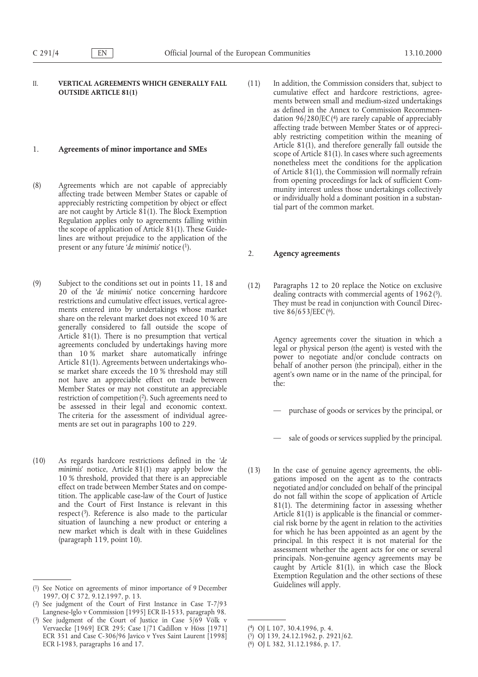# II. **VERTICAL AGREEMENTS WHICH GENERALLY FALL** (11) In addition, the Commission considers that, subject to

- (8) Agreements which are not capable of appreciably from opening proceedings for lack of sufficient Com-<br>affecting trade between Member States or capable of munity interest unless those undertakings collectively<br>appreciabl Regulation applies only to agreements falling within the scope of application of Article 81(1). These Guidelines are without prejudice to the application of the present or any future '*de minimis'* notice (<sup>1</sup>). 2. **Agency agreements**
- (9) Subject to the conditions set out in points 11, 18 and 20 of the 'de minimis' notice concerning hardcore<br>
20 of the 'de minimis' notice concerning hardcore dealing contracts with commercial agents of 1962(5).<br>
restric generally considered to fall outside the scope of Article 81(1). There is no presumption that vertical<br>agreements concluded by undertakings having more<br>than 10 % market share automatically infringe<br>Article 81(1). Agreements between undertakings who-<br>se market share exceed restriction of competition (2). Such agreements need to be assessed in their legal and economic context.  $-$  purchase of goods or services by the principal, or The criteria for the assessment of individual agreements are set out in paragraphs 100 to 229.
- (10) As regards hardcore restrictions defined in the '*de*

**OUTSIDE ARTICLE 81(1)** cumulative effect and hardcore restrictions, agreements between small and medium-sized undertakings as defined in the Annex to Commission Recommendation 96/280/EC (4) are rarely capable of appreciably affecting trade between Member States or of appreciably restricting competition within the meaning of Article 81(1), and therefore generally fall outside the Agreements of minor importance and SMEs<br>scope of Article 81(1), and therefore generally fall outside the<br>scope of Article 81(1). In cases where such agreements nonetheless meet the conditions for the application of Article 81(1), the Commission will normally refrain

- 
- sale of goods or services supplied by the principal.
- *minimis*' notice, Article 81(1) may apply below the (13) In the case of genuine agency agreements, the obli-<br>10 % threshold, provided that there is an appreciable eations imposed on the agent as to the contracts 10 % threshold, provided that there is an appreciable gations imposed on the agent as to the contracts effect on trade between Member States and on compe-<br>tition. The applicable case-law of the Court of Justice<br>do not fall within the scope of application of Article tition. The applicable case-law of the Court of Justice do not fall within the scope of application of Article and the Court of First Instance is relevant in this 81(1). The determining factor in assessing whether and the Court of First Instance is relevant in this  $81(1)$ . The determining factor in assessing whether respect(3). Reference is also made to the particular Article  $81(1)$  is applicable is the financial or commerrespect (3). Reference is also made to the particular Article 81(1) is applicable is the financial or commer-<br>situation of launching a new product or entering a call risk borne by the agent in relation to the activities situation of launching a new product or entering a cial risk borne by the agent in relation to the activities new market which is dealt with in these Guidelines for which he has been appointed as an agent by the new market which is dealt with in these Guidelines for which he has been appointed as an agent by the principal. In this respect it is not material for the principal. In this respect it is not material for the principal. In this respect it is not material for the assessment whether the agent acts for one or several principals. Non-genuine agency agreements may be caught by Article 81(1), in which case the Block Exemption Regulation and the other sections of these

Guidelines will apply. (1) See Notice on agreements of minor importance of 9 December 1997, OJ C 372, 9.12.1997, p. 13.

<sup>(2)</sup> See judgment of the Court of First Instance in Case T-7/93 Langnese-Iglo v Commission [1995] ECR II-1533, paragraph 98.

<sup>(3)</sup> See judgment of the Court of Justice in Case 5/69 Völk v Vervaecke [1969] ECR 295; Case 1/71 Cadillon v Höss [1971] (4) OJ L 107, 30.4.1996, p. 4.<br>ECR 351 and Case C-306/96 Javico v Yves Saint Laurent [1998] (5) OJ 139, 24.12.1962, p. 2921/62. ECR 351 and Case C-306/96 Javico v Yves Saint Laurent [1998]  $ECR$  I-1983, paragraphs 16 and 17.

 $(6)$  OJ L 382, 31.12.1986, p. 17.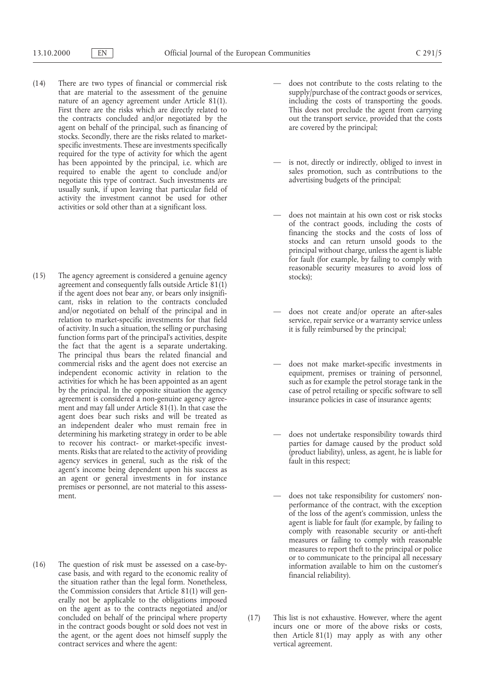- that are material to the assessment of the genuine supply/purchase of the contract goods or services, nature of an agency agreement under Article 81(1). including the costs of transporting the goods. First there are the risks which are directly related to This does not preclude the agent from carrying the contracts concluded and/or negotiated by the out the transport service, provided that the costs agent on behalf of the principal, such as financing of are covered by the principal; stocks. Secondly, there are the risks related to marketspecific investments. These are investments specifically required for the type of activity for which the agent has been appointed by the principal, i.e. which are  $-$  is not, directly or indirectly, obliged to invest in required to enable the agent to conclude and/or sales promotion, such as contributions to the required to enable the agent to conclude and/or sales promotion, such as contributions regotiate this type of contract. Such investments are advertising budgets of the principal; negotiate this type of contract. Such investments are usually sunk, if upon leaving that particular field of activity the investment cannot be used for other activities or sold other than at a significant loss.
- reasonable security measures to avoid loss of (15) The agency agreement is considered a genuine agency stocks); agreement and consequently falls outside Article 81(1) if the agent does not bear any, or bears only insignificant, risks in relation to the contracts concluded and/or negotiated on behalf of the principal and in  $-$  does not create and/or operate an after-sales relation to market-specific investments for that field of activity. In such a situation, the selling or purchasing it is function forms part of the principal's activities, despite the fact that the agent is a separate undertaking. The principal thus bears the related financial and commercial risks and the agent does not exercise an — does not make market-specific investments in independent economic activity in relation to the equipment, premises or training of personnel, activities for which he has been appointed as an agent such as for example the petrol storage tank in the by the principal. In the opposite situation the agency case of petrol retailing or specific software to sell agreement is considered a non-genuine agency agree-<br>insurance policies in case of insurance agents; agreement is considered a non-genuine agency agreement and may fall under Article 81(1). In that case the agent does bear such risks and will be treated as an independent dealer who must remain free in determining his marketing strategy in order to be able  $\qquad$  does not undertake responsibility towards third to recover his contract- or market-specific invest- parties for damage caused by the product sold ments. Risks that are related to the activity of providing (product liability), unless, as agent, he is liable for agency services in general, such as the risk of the fault in this respect; agent's income being dependent upon his success as an agent or general investments in for instance premises or personnel, are not material to this assessment. — does not take responsibility for customers' non-
- case basis, and with regard to the economic reality of financial reliability).<br>the situation rather than the legal form. Nonetheless, the Commission considers that Article 81(1) will generally not be applicable to the obligations imposed on the agent as to the contracts negotiated and/or concluded on behalf of the principal where property (17) This list is not exhaustive. However, where the agent contract services and where the agent: vertical agreement.
- (14) There are two types of financial or commercial risk does not contribute to the costs relating to the
	-
	- does not maintain at his own cost or risk stocks of the contract goods, including the costs of financing the stocks and the costs of loss of stocks and can return unsold goods to the principal without charge, unless the agent is liable for fault (for example, by failing to comply with
	-
	- such as for example the petrol storage tank in the
	-
- performance of the contract, with the exception of the loss of the agent's commission, unless the agent is liable for fault (for example, by failing to comply with reasonable security or anti-theft measures or failing to comply with reasonable measures to report theft to the principal or police (16) The question of risk must be assessed on a case-by-<br>case basis, and with regard to the economic reality of financial reliability.
	- in the contract goods bought or sold does not vest in incurs one or more of the above risks or costs, the agent, or the agent does not himself supply the then Article 81(1) may apply as with any other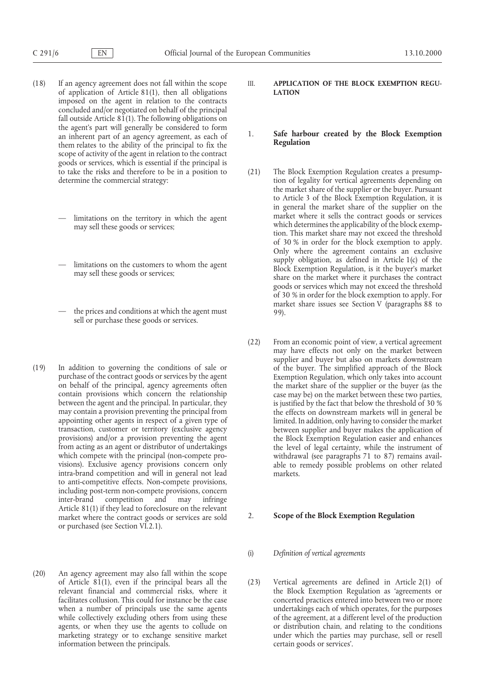- of application of Article 81(1), then all obligations **LATION** imposed on the agent in relation to the contracts concluded and/or negotiated on behalf of the principal fall outside Article  $81(1)$ . The following obligations on the agent's part will generally be considered to form<br>an inherent part of an agency agreement, as each of <br>them relates to the ability of the principal to fix the **Regulation**<br>Regulation scope of activity of the agent in relation to the contract goods or services, which is essential if the principal is
	-
	-
	-
- visions). Exclusive agency provisions concern only intra-brand competition and will in general not lead markets. to anti-competitive effects. Non-compete provisions, including post-term non-compete provisions, concern inter-brand competition and may infringe Article 81(1) if they lead to foreclosure on the relevant market where the contract goods or services are sold 2. **Scope of the Block Exemption Regulation** or purchased (see Section VI.2.1).
- (20) An agency agreement may also fall within the scope information between the principals. certain goods or services'.
- (18) If an agency agreement does not fall within the scope III. **APPLICATION OF THE BLOCK EXEMPTION REGU-**
	-
	- to take the risks and therefore to be in a position to (21) The Block Exemption Regulation creates a presump-<br>determine the commercial strategy:<br>on of legality for vertical agreements depending on tion of legality for vertical agreements depending on the market share of the supplier or the buyer. Pursuant to Article 3 of the Block Exemption Regulation, it is in general the market share of the supplier on the limitations on the territory in which the agent market where it sells the contract goods or services may sell these goods or services;<br>may sell these goods or services; tion. This market share may not exceed the threshold of 30 % in order for the block exemption to apply. Only where the agreement contains an exclusive supply obligation, as defined in Article 1(c) of the - limitations on the customers to whom the agent<br>may sell these goods or services;<br>share on the market where it purchases the contract goods or services which may not exceed the threshold of 30 % in order for the block exemption to apply. For market share issues see Section V (paragraphs 88 to sell or purchase these goods or services.<br>
	99).
- (22) From an economic point of view, a vertical agreement may have effects not only on the market between supplier and buyer but also on markets downstream (19) In addition to governing the conditions of sale or of the buyer. The simplified approach of the Block purchase of the contract goods or services by the agent Exemption Regulation, which only takes into account purchase of the contract goods or services by the agent Exemption Regulation, which only takes into account on behalf of the principal, agency agreements often the market share of the supplier or the buyer (as the the market share of the supplier or the buyer (as the contain provisions which concern the relationship case may be) on the market between these two parties, between the agent and the principal. In particular, they is justified by the fact that below the threshold of 30 % between the agent and the principal. In particular, they is justified by the fact that below the threshold of 30 % may contain a provision preventing the principal from the effects on downstream markets will in general be the effects on downstream markets will in general be appointing other agents in respect of a given type of limited. In addition, only having to consider the market transaction, customer or territory (exclusive agency<br>provisions) and/or a provision preventing the agent the Block Exemption Regulation easier and enhances provisions) and/or a provision preventing the agent the Block Exemption Regulation easier and enhances from acting as an agent or distributor of undertakings the level of legal certainty, while the instrument of from acting as an agent or distributor of undertakings the level of legal certainty, while the instrument of which compete with the principal (non-compete pro-<br>withdrawal (see paragraphs 71 to 87) remains availwith drawal (see paragraphs 71 to 87) remains available to remedy possible problems on other related

- (i) *Definition of vertical agreements*
- of Article 81(1), even if the principal bears all the (23) Vertical agreements are defined in Article 2(1) of relevant financial and commercial risks, where it the Block Exemption Regulation as 'agreements or facilitates collusion. This could for instance be the case concerted practices entered into between two or more when a number of principals use the same agents undertakings each of which operates, for the purposes while collectively excluding others from using these of the agreement, at a different level of the production agents, or when they use the agents to collude on or distribution chain, and relating to the conditions marketing strategy or to exchange sensitive market under which the parties may purchase, sell or resell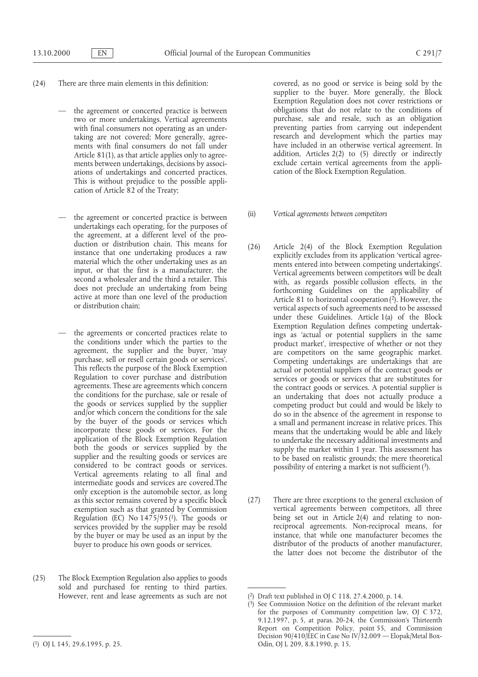- (24) There are three main elements in this definition: covered, as no good or service is being sold by the
	- ations of undertakings and concerted practices. This is without prejudice to the possible application of Article 82 of the Treaty;
	- the agreement or concerted practice is between (ii) *Vertical agreements between competitors* undertakings each operating, for the purposes of the agreement, at a different level of the pro-
	- intermediate goods and services are covered.The only exception is the automobile sector, as long by the buyer or may be used as an input by the
- (25) The Block Exemption Regulation also applies to goods sold and purchased for renting to third parties. However, rent and lease agreements as such are not (2) Draft text published in OJ C 118, 27.4.2000, p. 14.

supplier to the buyer. More generally, the Block Exemption Regulation does not cover restrictions or the agreement or concerted practice is between obligations that do not relate to the conditions of two or more undertakings. Vertical agreements purchase, sale and resale, such as an obligation purchase, sale and resale, such as an obligation with final consumers not operating as an under-<br>preventing parties from carrying out independent taking are not covered; More generally, agree-<br>research and development which the parties may ments with final consumers do not fall under have included in an otherwise vertical agreement. In Article 81(1), as that article applies only to agree-<br>addition, Articles 2(2) to (5) directly or indirectly ments between undertakings, decisions by associ-<br>ations of undertakings and concerted practices.<br>cation of the Block Exemption Regulation.

- 
- duction or distribution chain. This means for<br>instance that one undertaking produces a raw<br>material which the other undertaking uses as an<br>input, or that the first is a manufacturer, the<br>second a wholesaler and the third a under these Guidelines. Article 1(a) of the Block — the agreements or concerted practices relate to<br>
imag as "actual or pertoinal suppliers in the same<br>
methanology and the particles to the product market, irrespective of whether or not they<br>
agreement, the supplier and
	- as this sector remains covered by a specific block (27) There are three exceptions to the general exclusion of exemption such as that granted by Commission vertical agreements between competitors, all three exemption such as that granted by Commission vertical agreements between competitors, all three<br>Regulation (EC) No 1475/95 (<sup>1</sup>). The goods or being set out in Article 2(4) and relating to non-Regulation (EC) No  $1475/95$ <sup>(1</sup>). The goods or being set out in Article 2(4) and relating to non-<br>services provided by the supplier may be resold expression of the reciprocal agreements. Non-reciprocal means, for services provided by the supplier may be resold reciprocal agreements. Non-reciprocal means, for<br>by the buyer or may be used as an input by the instance, that while one manufacturer becomes the buyer to produce his own goods or services. distributor of the products of another manufacturer, the latter does not become the distributor of the

<sup>(3)</sup> See Commission Notice on the definition of the relevant market for the purposes of Community competition law, OJ C 372, 9.12.1997, p. 5, at paras. 20-24, the Commission's Thirteenth Report on Competition Policy, point 55, and Commission Decision 90/410/EEC in Case No IV/32.009 — Elopak/Metal Box- (1) OJ L 145, 29.6.1995, p. 25. 1) Odin, OJ L 209, 8.8.1990, p. 15.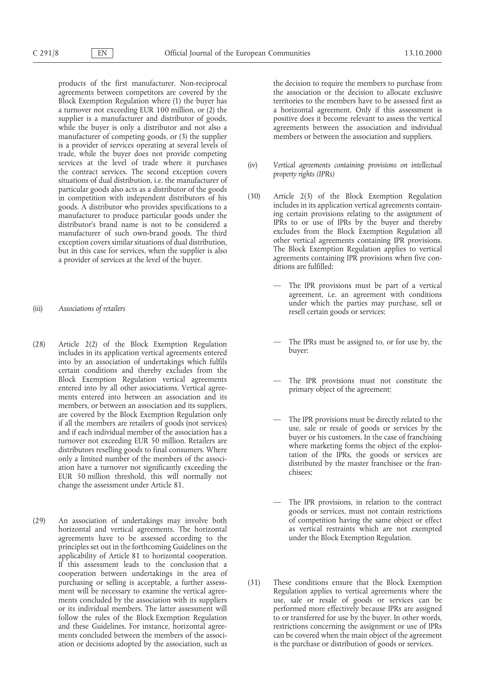products of the first manufacturer. Non-reciprocal the decision to require the members to purchase from a turnover not exceeding EUR 100 million, or (2) the manufacturer of competing goods, or (3) the supplier members or between the association and suppliers. is a provider of services operating at several levels of trade, while the buyer does not provide competing services at the level of trade where it purchases (iv) Vertical agreements containing provisions on intellectual<br>the contract services. The second exception covers situations of dual distribution, i.e. the manufacturer of particular goods also acts as a distributor of the goods but in this case for services, when the supplier is also

- 
- (28) Article 2(2) of the Block Exemption Regulation  $-$  The IPRs must be assigned to, or for use by, the includes in its application vertical agreements entered buyer; into by an association of undertakings which fulfils certain conditions and thereby excludes from the Block Exemption Regulation vertical agreements — The IPR provisions must not constitute the entered into by all other associations. Vertical agreements — The IPR provisions must not constitute the primary object of the agr members, or between an association and its suppliers, are covered by the Block Exemption Regulation only<br>
if all the members are retailers of goods (not services)<br>
and if each individual member of the association has a<br>
turnover not exceeding EUR 50 million. Retailers are<br>
di change the assessment under Article 81.
- horizontal and vertical agreements. The horizontal as vertical restraints which are not exempted agreements have to be assessed according to the under the Block Exemption Regulation. agreements have to be assessed according to the principles set out in the forthcoming Guidelines on the applicability of Article 81 to horizontal cooperation. If this assessment leads to the conclusion that a cooperation between undertakings in the area of purchasing or selling is acceptable, a further assess- (31) These conditions ensure that the Block Exemption

agreements between competitors are covered by the the association or the decision to allocate exclusive Block Exemption Regulation where (1) the buyer has territories to the members have to be assessed first as Block Exemption Regulation where (1) the buyer has territories to the members have to be assessed first as a turnover not exceeding EUR 100 million, or (2) the a horizontal agreement. Only if this assessment is supplier is a manufacturer and distributor of goods, positive does it become relevant to assess the vertical while the buyer is only a distributor and not also a agreements between the association and individual

- 
- in competition with independent distributors of his (30) Article 2(3) of the Block Exemption Regulation  $\alpha$  coods A distributor who provides specifications to a includes in its application vertical agreements containgoods. A distributor who provides specifications to a<br>manufacturer to produce particular goods under the specification provisions relating to the assignment of manufacturer to produce particular goods under the ing certain provisions relating to the assignment of distributor's brand name is not to be considered a distributor's brand name is not to be considered a<br>manufacturer of such own-brand goods. The third excludes from the Block Exemption Regulation all manufacturer of such own-brand goods. The third excludes from the Block Exemption Regulation all exception covers similar situations of dual distribution. exception covers similar situations of dual distribution, exception agreements containing IPR provisions.<br>
Fither Block Exemption Regulation applies to vertical put in this case for services, when the supplier is also a provider of services at the level of the buyer. a provider of services at the level of the buyer.  $\frac{1}{2}$  agreements containing IPR provisions when five con-
- The IPR provisions must be part of a vertical agreement, i.e. an agreement with conditions under which the parties may purchase, sell or (iii) *Associations of retailers* resell certain goods or services;
	-
	-
	-
- The IPR provisions, in relation to the contract goods or services, must not contain restrictions (29) An association of undertakings may involve both of competition having the same object or effect
	- ment will be necessary to examine the vertical agree- Regulation applies to vertical agreements where the ments concluded by the association with its suppliers use, sale or resale of goods or services can be or its individual members. The latter assessment will performed more effectively because IPRs are assigned follow the rules of the Block Exemption Regulation to or transferred for use by the buyer. In other words, and these Guidelines. For instance, horizontal agree- restrictions concerning the assignment or use of IPRs ments concluded between the members of the associ- can be covered when the main object of the agreement ation or decisions adopted by the association, such as is the purchase or distribution of goods or services.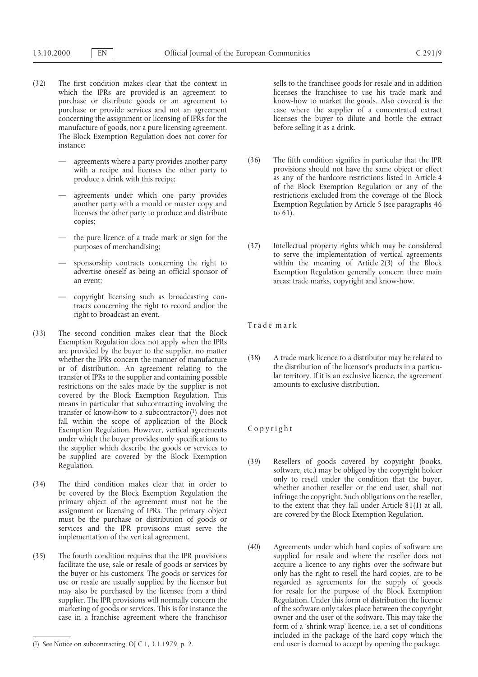- (32) The first condition makes clear that the context in sells to the franchisee goods for resale and in addition which the IPRs are provided is an agreement to licenses the franchisee to use his trade mark and purchase or distribute goods or an agreement to know-how to market the goods. Also covered is the purchase or provide services and not an agreement case where the supplier of a concentrated extract purchase or provide services and not an agreement concerning the assignment or licensing of IPRs for the licenses the buyer to dilute and bottle the extract manufacture of goods, nor a pure licensing agreement. before selling it as a drink. The Block Exemption Regulation does not cover for instance:
	- with a recipe and licenses the other party to
	- licenses the other party to produce and distribute to 61). copies;
	- the pure licence of a trade mark or sign for the
	-
	- copyright licensing such as broadcasting contracts concerning the right to record and/or the right to broadcast an event.
- (33) The second condition makes clear that the Block Exemption Regulation does not apply when the IPRs are provided by the buyer to the supplier, no matter transfer of IPRs to the supplier and containing possible lare territory. If it is an exclusive licences restrictions on the sales made by the supplier is not amounts to exclusive distribution. covered by the Block Exemption Regulation. This means in particular that subcontracting involving the transfer of know-how to a subcontractor $(1)$  does not fall within the scope of application of the Block Exemption Regulation. However, vertical agreements Copyright under which the buyer provides only specifications to the supplier which describe the goods or services to<br>be supplied are covered by the Block Exemption
- services and the IPR provisions must serve the implementation of the vertical agreement.
- 

- agreements where a party provides another party (36) The fifth condition signifies in particular that the IPR with a recipe and licenses the other party to provisions should not have the same object or effect produce a drink with this recipe; as any of the hardcore restrictions listed in Article 4 of the Block Exemption Regulation or any of the agreements under which one party provides restrictions excluded from the coverage of the Block<br>another party with a mould or master copy and Exemption Regulation by Article 5 (see paragraphs 46 Exemption Regulation by Article 5 (see paragraphs 46
- purposes of merchandising; (37) Intellectual property rights which may be considered to serve the implementation of vertical agreements sponsorship contracts concerning the right to within the meaning of Article 2(3) of the Block advertise oneself as being an official sponsor of Exemption Regulation generally concern three main an event; areas: trade marks, copyright and know-how.

### Trade mark

whether the IPRs concern the manner of manufacture (38) A trade mark licence to a distributor may be related to<br>or of distribution. An agreement relating to the the distribution of the licensor's products in a particuor of distribution. An agreement relating to the the distribution of the licensor's products in a particu-<br>transfer of IPRs to the sumplier and containing possible lare territory. If it is an exclusive licence, the agreeme

- be supplied are covered by the Block Exemption (39) Resellers of goods covered by copyright (books, software, etc.) may be obliged by the copyright holder only to resell under the condition that the buyer, (34) The third condition makes clear that in order to<br>be covered by the Block Exemption Regulation the<br>primary object of the agreement must not be the<br>assignment or licensing of IPRs. The primary object<br>must be the purchas
- (40) Agreements under which hard copies of software are (35) The fourth condition requires that the IPR provisions supplied for resale and where the reseller does not facilitate the use, sale or resale of goods or services by acquire a licence to any rights over the software but the buyer or his customers. The goods or services for only has the right to resell the hard copies, are to be use or resale are usually supplied by the licensor but regarded as agreements for the supply of goods may also be purchased by the licensee from a third for resale for the purpose of the Block Exemption supplier. The IPR provisions will normally concern the Regulation. Under this form of distribution the licence marketing of goods or services. This is for instance the of the software only takes place between the copyright case in a franchise agreement where the franchisor owner and the user of the software. This may take the form of a 'shrink wrap' licence, i.e. a set of conditions included in the package of the hard copy which the ( $\frac{1}{2}$ ) See Notice on subcontracting, OJ C 1, 3.1.1979, p. 2. The end user is deemed to accept by opening the package.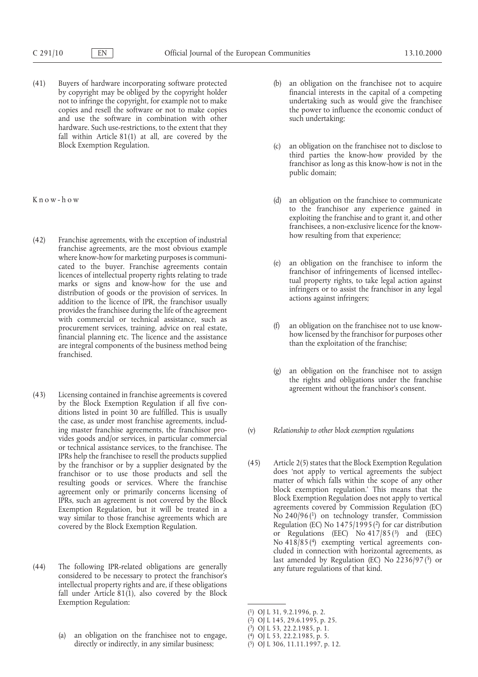(41) Buyers of hardware incorporating software protected (b) an obligation on the franchisee not to acquire by copyright may be obliged by the copyright holder financial interests in the capital of a competing not to infringe the copyright, for example not to make undertaking such as would give the franchisee copies and resell the software or not to make copies the power to influence the economic conduct of and use the software in combination with other such undertaking; hardware. Such use-restrictions, to the extent that they fall within Article 81(1) at all, are covered by the Block Exemption Regulation.

- how resulting from that experience; (42) Franchise agreements, with the exception of industrial franchise agreements, are the most obvious example where know-how for marketing purposes is communicated to the buyer. Franchise agreements contain<br>licences of intellectual property rights relating to trade<br>marks or signs and know-how for the use and<br>distribution of goods provides the franchisee during the life of the agreement with commercial or technical assistance, such as<br>procurement services, training, advice on real estate,<br>financial planning etc. The licence and the assistance<br>are integral components of the business method being<br>than the e franchised.
- by the Block Exemption Regulation if all five conditions listed in point 30 are fulfilled. This is usually the case, as under most franchise agreements, including master franchise agreements, the franchisor pro- (v) *Relationship to other block exemption regulations* vides goods and/or services, in particular commercial or technical assistance services, to the franchisee. The
- intellectual property rights and are, if these obligations fall under Article 81(1), also covered by the Block Exemption Regulation:
	- (a) an obligation on the franchisee not to engage,  $(4)$  OJ L 53, 22.2.1985, p. 5.<br>directly or indirectly, in any similar business;  $(5)$  OJ L 306, 11.11.1997, p. 12. directly or indirectly, in any similar business;
- 
- (c) an obligation on the franchisee not to disclose to third parties the know-how provided by the franchisor as long as this know-how is not in the public domain;
- Know-how (d) an obligation on the franchise to communicate to the franchisor any experience gained in exploiting the franchise and to grant it, and other franchisees, a non-exclusive licence for the know-
	-
	-
- (g) an obligation on the franchisee not to assign the rights and obligations under the franchise agreement without the franchisor's consent. (43) Licensing contained in franchise agreements is covered
	-
- The the franchiser of result the products supplied<br>the franchisor or by a supplier designated by the the subject<br>franchisor or to use those products and sell the does 'not apply to vertical agreements the subject<br>resulting way similar to those franchise agreements which are<br>  $\frac{N\sigma}{240/96}$  ( $\frac{N\sigma}{240/96}$ ) on technology transfer, Commission<br>  $\frac{R\sigma}{240/96}$  (EC) No  $\frac{1475}{1995}$  ( $\frac{3}{2}$ ) for car distribution<br>
or  $\frac{R\sigma}{240/96}$  ( No 418/85 (4) exempting vertical agreements concluded in connection with horizontal agreements, as (44) The following IPR-related obligations are generally last amended by Regulation (EC) No 2236/97 (5) or (44) considered to be necessary to protect the franchisor's

<sup>(1)</sup> OJ L 31, 9.2.1996, p. 2.

<sup>(2)</sup> OJ L 145, 29.6.1995, p. 25.

<sup>(3)</sup> OJ L 53, 22.2.1985, p. 1.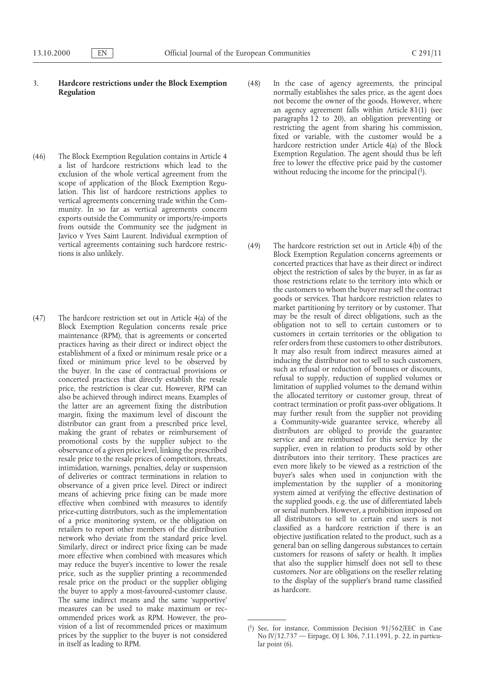# 3. **Hardcore restrictions under the Block Exemption** (48) In the case of agency agreements, the principal

- exclusion of the whole vertical agreement from the scope of application of the Block Exemption Regulation. This list of hardcore restrictions applies to vertical agreements concerning trade within the Community. In so far as vertical agreements concern exports outside the Community or imports/re-imports from outside the Community see the judgment in Javico v Yves Saint Laurent. Individual exemption of
- the latter are an agreement fixing the distribution of deliveries or contract terminations in relation to means of achieving price fixing can be made more resale price on the product or the supplier obliging to the display to the supplier of the supplier classified  $\frac{1}{2}$  as hardcore. the buyer to apply a most-favoured-customer clause. The same indirect means and the same 'supportive' measures can be used to make maximum or recommended prices work as RPM. However, the provision of a list of recommended prices or maximum (1) See, for instance, Commission Decision 91/562/EEC in Case<br>prices by the supplier to the buyer is not considered No IV/32.737 — Eirpage, OJ L 306, 7.11.1991, p. 22, in p in itself as leading to RPM. lar point (6).
- **Regulation Regulation normally establishes the sales price, as the agent does** not become the owner of the goods. However, where an agency agreement falls within Article 81(1) (see paragraphs 12 to 20), an obligation preventing or restricting the agent from sharing his commission, fixed or variable, with the customer would be a hardcore restriction under Article 4(a) of the Block (46) The Block Exemption Regulation contains in Article 4 a list of hardcore restrictions which lead to the free to lower the effective price paid by the customer exclusion of the whole vertical agreement from the without
- vertical agreements containing such hardcore restric- (49) The hardcore restriction set out in Article 4(b) of the tions is also unlikely.<br>Block Exemption Regulation concerns agreements or Block Exemption Regulation concerns agreements or concerted practices that have as their direct or indirect object the restriction of sales by the buyer, in as far as those restrictions relate to the territory into which or the customers to whom the buyer may sell the contract goods or services. That hardcore restriction relates to market partitioning by territory or by customer. That (47) The hardcore restriction set out in Article 4(a) of the may be the result of direct obligations, such as the Block Exemption Regulation concerns resale price obligation not to sell to certain customers or to maintenance (RPM) that is agreements or concerted customers in certain territories or the obligation to maintenance (RPM), that is agreements or concerted customers in certain territories or the obligation to<br>refer orders from these customers to other distributors. practices having as their direct or indirect object the refer orders from these customers to other distributors.<br>
It may also result from indirect measures aimed at establishment of a fixed or minimum resale price or a<br>
fixed or minimum price level to be observed by inducing the distributor not to sell to such customers, fixed or minimum price level to be observed by inducing the distributor not to sell to such customers, the buyer. In the case of contractual provisions or such as refusal or reduction of bonuses or discounts, concerted pra concerted practices that directly establish the resale refusal to supply, reduction of supplied volumes or price, the restriction is clear cut. However, RPM can limitation of supplied volumes to the demand within price, the restriction is clear cut. However, RPM can limitation of supplied volumes to the demand within also be achieved through indirect means. Examples of the allocated territory or customer group, threat of also be achieved through indirect means. Examples of the allocated territory or customer group, threat of the latter are an agreement fixing the distribution margin, fixing the maximum level of discount the may further result from the supplier not providing<br>distributor can grant from a prescribed price level a Community-wide guarantee service, whereby all distributor can grant from a prescribed price level,<br>making the grant of rehates or reimbursement of distributors are obliged to provide the guarantee making the grant of rebates or reimbursement of distributors are obliged to provide the guarantee<br>promotional costs by the supplier subject to the service and are reimbursed for this service by the promotional costs by the supplier subject to the service and are reimbursed for this service by the observance of a given price level linking the prescribed supplier, even in relation to products sold by other observance of a given price level, linking the prescribed supplier, even in relation to products sold by other<br>resale price to the resale prices of competitors, threats,<br>distributors into their territory. These practices a resale price to the resale prices of competitors, threats, distributors into their territory. These practices are intimidation warnings penalties delay or suspension even more likely to be viewed as a restriction of the intimidation, warnings, penalties, delay or suspension even more likely to be viewed as a restriction of the<br>of deliveries or contract terminations in relation to buyer's sales when used in conjunction with the observance of a given price level. Direct or indirect implementation by the supplier of a monitoring means of achieving price fixing can be made more system aimed at verifying the effective destination of effective when combined with measures to identify the supplied goods, e.g. the use of differentiated labels price-cutting distributors, such as the implementation or serial numbers. However, a prohibition imposed on of a price monitoring system or the obligation on all distributors to sell to certain end users is not of a price monitoring system, or the obligation on all distributors to sell to certain end users is not entailers to report other members of the distribution classified as a hardcore restriction if there is an retailers to report other members of the distribution classified as a hardcore restriction if there is an network who deviate from the standard price level objective justification related to the product, such as a network who deviate from the standard price level.<br>Similarly direct or indirect price fixing can be made<br>general ban on selling dangerous substances to certain Similarly, direct or indirect price fixing can be made general ban on selling dangerous substances to certain<br>more effective when combined with measures which customers for reasons of safety or health. It implies more effective when combined with measures which customers for reasons of safety or health. It implies may reduce the buver's incentive to lower the resale that also the supplier himself does not sell to these may reduce the buyer's incentive to lower the resale that also the supplier himself does not sell to these<br>price, such as the supplier printing a recommended customers. Nor are obligations on the reseller relating price, such as the supplier printing a recommended customers. Nor are obligations on the reseller relating<br>resale price on the product or the supplier obliging to the display of the supplier's brand name classified

No IV/32.737 — Eirpage, OJ L 306, 7.11.1991, p. 22, in particu-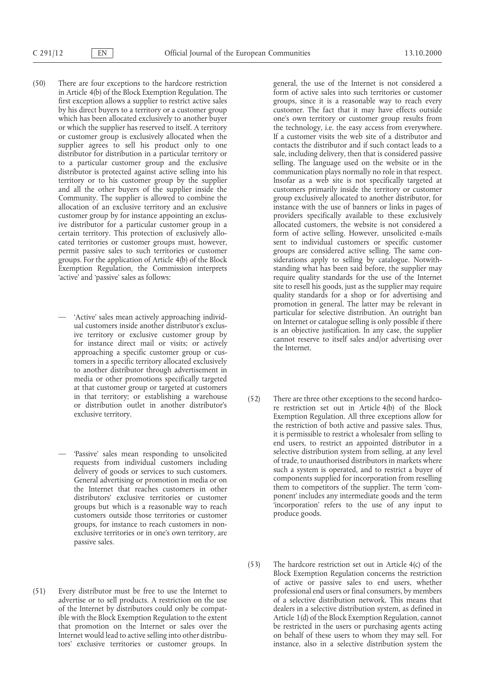- in Article  $4(b)$  of the Block Exemption Regulation. The form of active sales into such territories or customer first exception allows a supplier to restrict active sales groups, since it is a reasonable way to reach every by his direct buyers to a territory or a customer group customer. The fact that it may have effects outside which has been allocated exclusively to another buyer one's own territory or customer group results from or which the supplier has reserved to itself. A territory the technology, i.e. the easy access from everywhere. or customer group is exclusively allocated when the If a customer visits the web site of a distributor and supplier agrees to sell his product only to one contacts the distributor and if such contact leads to a supplier agrees to sell his product only to one contacts the distributor and if such contact leads to a distributor for distribution in a particular territory or sale, including delivery, then that is considered passive distributor for distribution in a particular territory or to a particular customer group and the exclusive to a particular customer group and the exclusive selling. The language used on the website or in the distributor is protected against active selling into his communication plays normally no role in that respect. territory or to his customer group by the supplier and all the other buyers of the supplier inside the Community. The supplier is allowed to combine the group exclusively allocated to another distributor, for allocation of an exclusive territory and an exclusive instance with the use of banners or links in pages of customer group by for instance appointing an exclus-<br>ive distributor for a particular customer group in a<br>allocated customers, the website is not considered a ive distributor for a particular customer group in a certain territory. This protection of exclusively allocertain territory. This protection of exclusively allo-<br>
cated territories or customer groups must, however,<br>
sent to individual customers or specific customer cated territories or customer groups must, however, sent to individual customers or specific customer<br>permit passive sales to such territories or customer<br>groups are considered active selling. The same congroups. For the application of Article 4(b) of the Block siderations apply to selling by catalogue. Notwith-<br>Exemption Regulation, the Commission interprets standing what has been said before, the supplier may Exemption Regulation, the Commission interprets 'active' and 'passive' sales as follows: require quality standards for the use of the Internet
	- 'Active' sales mean actively approaching individ-<br>
	ual customers inside another distributor's exclus-<br>
	ive territory or exclusive customer group by<br>
	for instance direct mail or visits; or actively<br>
	approaching a specific tomers in a specific territory allocated exclusively to another distributor through advertisement in media or other promotions specifically targeted at that customer group or targeted at customers
	- customers outside those territories or customer groups, for instance to reach customers in nonexclusive territories or in one's own territory, are passive sales.
- 

(50) There are four exceptions to the hardcore restriction general, the use of the Internet is not considered a communication plays normally no role in that respect.<br>Insofar as a web site is not specifically targeted at customers primarily inside the territory or customer groups are considered active selling. The same considerations apply to selling by catalogue. Notwithsite to resell his goods, just as the supplier may require quality standards for a shop or for advertising and promotion in general. The latter may be relevant in

- in that territory; or establishing a warehouse (52) There are three other exceptions to the second hardco-<br>or distribution outlet in another distributor's exclusive territory.<br>Exemption Regulation. All three exceptions all the restriction of both active and passive sales. Thus, it is permissible to restrict a wholesaler from selling to end users, to restrict an appointed distributor in a — 'Passive' sales mean responding to unsolicited selective distribution system from selling, at any level requests from individual customers including of trade, to unauthorised distributors in markets where delivery of goods or services to such customers.<br>Such a system is operated, and to restrict a buyer of General advertising or promotion in media or on components supplied for incorporation from reselling the Internet that reaches customers in other them to competitors of the supplier. The term 'comdistributors' exclusive territories or customer ponent' includes any intermediate goods and the term groups but which is a reasonable way to reach  $\frac{1}{2}$  'incorporation' refers to the use of any input to customers outside those territories or customer
- (53) The hardcore restriction set out in Article 4(c) of the Block Exemption Regulation concerns the restriction of active or passive sales to end users, whether (51) Every distributor must be free to use the Internet to professional end users or final consumers, by members advertise or to sell products. A restriction on the use of a selective distribution network. This means that of the Internet by distributors could only be compat- dealers in a selective distribution system, as defined in ible with the Block Exemption Regulation to the extent Article 1(d) of the Block Exemption Regulation, cannot that promotion on the Internet or sales over the be restricted in the users or purchasing agents acting Internet would lead to active selling into other distribu- on behalf of these users to whom they may sell. For tors' exclusive territories or customer groups. In instance, also in a selective distribution system the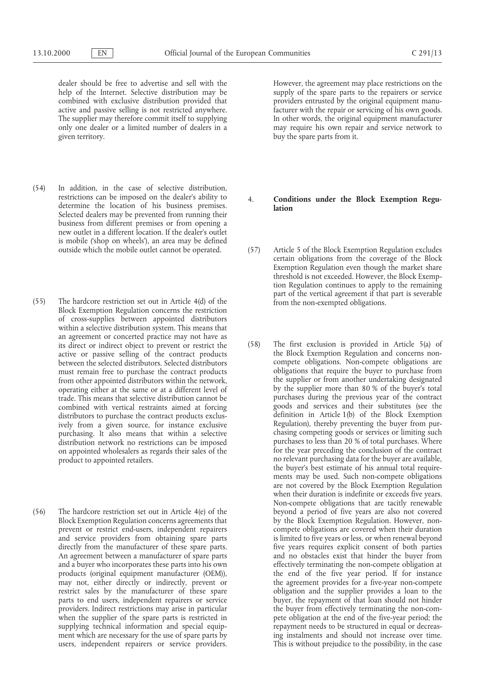dealer should be free to advertise and sell with the However, the agreement may place restrictions on the given territory. **buy the spare parts from it.** 

- (54) In addition, in the case of selective distribution, Selected dealers may be prevented from running their business from different premises or from opening a new outlet in a different location. If the dealer's outlet is mobile ('shop on wheels'), an area may be defined
- of cross-supplies between appointed distributors within a selective distribution system. This means that an agreement or concerted practice may not have as<br>
its direct or indirect object to prevent or restrict the (58) The first exclusion is provided in Article 5(a) of<br>
active or passive selling of the contract products<br>
the active or passive selling of the contract products trade. This means that selective distribution cannot be on appointed wholesalers as regards their sales of the
- (56) The hardcore restriction set out in Article 4(e) of the beyond a period of five years are also not covered

help of the Internet. Selective distribution may be supply of the spare parts to the repairers or service combined with exclusive distribution provided that providers entrusted by the original equipment manuactive and passive selling is not restricted anywhere. facturer with the repair or servicing of his own goods. The supplier may therefore commit itself to supplying In other words, the original equipment manufacturer only one dealer or a limited number of dealers in a may require his own repair and service network to

# restrictions can be imposed on the dealer's ability to **4. Conditions under the Block Exemption Regu-** determine the location of his business premises. **lation**

- outside which the mobile outlet cannot be operated. (57) Article 5 of the Block Exemption Regulation excludes certain obligations from the coverage of the Block Exemption Regulation even though the market share threshold is not exceeded. However, the Block Exemption Regulation continues to apply to the remaining (55) The hardcore restriction set out in Article 4(d) of the vertical agreement if that part is severable from the non-exempted obligations.<br>Block Exemption Regulation concerns the restriction
	- between the selected distributors. Selected distributors compete obligations. Non-compete obligations are must remain free to purchase the contract products obligations that require the buyer to purchase from from other appointed distributors within the network, the supplier or from another undertaking designated operating either at the same or at a different level of by the supplier more than 80 % of the buyer's total operating either at the same or at a different level of by the supplier more than 80 % of the buyer's total trade. This means that selective distribution cannot be purchases during the previous year of the contract combined with vertical restraints aimed at forcing goods and services and their substitutes (see the distributors to purchase the contract products exclus-<br>definition in Article 1(b) of the Block Exemption distributors to purchase the contract products exclus-<br>ively from a given source, for instance exclusive Regulation, thereby preventing the buyer from purively from a given source, for instance exclusive Regulation), thereby preventing the buyer from pur-<br>purchasing. It also means that within a selective chasing competing goods or services or limiting such purchasing. It also means that within a selective chasing competing goods or services or limiting such distribution network no restrictions can be imposed purchases to less than 20 % of total purchases. Where distribution network no restrictions can be imposed<br>on appointed wholesalers as regards their sales of the state of the year preceding the conclusion of the contract product to appointed retailers.  $\overline{\phantom{a}}$  no relevant purchasing data for the buyer are available, the buyer's best estimate of his annual total requirements may be used. Such non-compete obligations are not covered by the Block Exemption Regulation when their duration is indefinite or exceeds five years. Non-compete obligations that are tacitly renewable Block Exemption Regulation concerns agreements that by the Block Exemption Regulation. However, nonprevent or restrict end-users, independent repairers compete obligations are covered when their duration and service providers from obtaining spare parts is limited to five years or less, or when renewal beyond directly from the manufacturer of these spare parts. five years requires explicit consent of both parties An agreement between a manufacturer of spare parts and no obstacles exist that hinder the buyer from and a buyer who incorporates these parts into his own effectively terminating the non-compete obligation at products (original equipment manufacturer (OEM)), the end of the five year period. If for instance may not, either directly or indirectly, prevent or the agreement provides for a five-year non-compete restrict sales by the manufacturer of these spare obligation and the supplier provides a loan to the parts to end users, independent repairers or service buyer, the repayment of that loan should not hinder providers. Indirect restrictions may arise in particular the buyer from effectively terminating the non-comwhen the supplier of the spare parts is restricted in pete obligation at the end of the five-year period; the supplying technical information and special equip- repayment needs to be structured in equal or decreasment which are necessary for the use of spare parts by ing instalments and should not increase over time. users, independent repairers or service providers. This is without prejudice to the possibility, in the case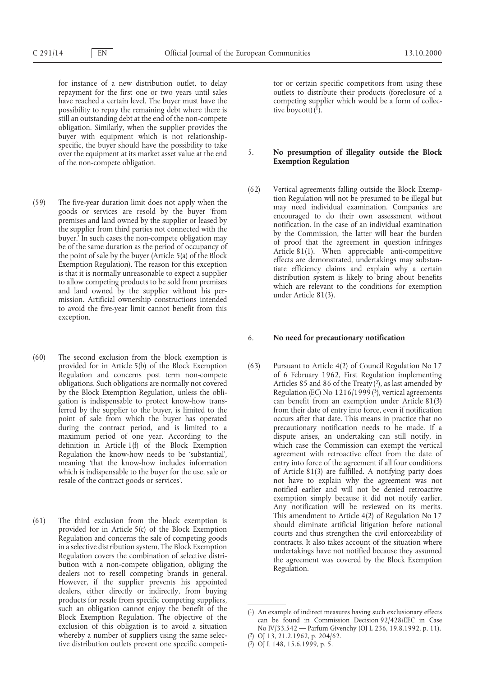for instance of a new distribution outlet, to delay tor or certain specific competitors from using these repayment for the first one or two years until sales outlets to distribute their products (foreclosure of a have reached a certain level. The buyer must have the competing supplier which would be a form of collecpossibility to repay the remaining debt where there is  $\qquad$  ive boycott)(1). still an outstanding debt at the end of the non-compete obligation. Similarly, when the supplier provides the buyer with equipment which is not relationshipspecific, the buyer should have the possibility to take of the non-compete obligation.

- (59) The five-year duration limit does not apply when the goods or services are resold by the buyer 'from may need individual examination. Companies are premises and land owned by the supplier or leased by another of encou to avoid the five-year limit cannot benefit from this exception.
- (60) The second exclusion from the block exemption is obligations. Such obligations are normally not covered meaning 'that the know-how includes information which is indispensable to the buyer for the use, sale or
- (61) The third exclusion from the block exemption is<br>provided for in Article 5(c) of the Block Exemption<br>Regulation and concerns the sale of competing goods<br>in a selective distribution system. The Block Exemption<br>Regulatio However, if the supplier prevents his appointed dealers, either directly or indirectly, from buying products for resale from specific competing suppliers, such an obligation cannot enjoy the benefit of the<br>Block Exemption Regulation. The objective of the<br>exclusion of this obligation is to avoid a situation<br>No IV/33.542 — Parfum Givenchy (OJ L 236, 19.8.1992, p. 11). whereby a number of suppliers using the same selec- (2) OJ 13, 21.2.1962, p. 204/62.<br>tive distribution outlets prevent one specific competi-<br>(3) OJ L 148, 15.6.1999, p. 5. tive distribution outlets prevent one specific competi-

# over the equipment at its market asset value at the end 5. **No presumption of illegality outside the Block**

(62) Vertical agreements falling outside the Block Exemp-

### 6. **No need for precautionary notification**

provided for in Article 5(b) of the Block Exemption (63) Pursuant to Article 4(2) of Council Regulation No 17<br>Regulation and concerns post term non-compete of 6 February 1962, First Regulation implementing Regulation and concerns post term non-compete of 6 February 1962, First Regulation implementing obligations. Such obligations are normally not covered Articles 85 and 86 of the Treaty (2), as last amended by by the Block Exemption Regulation, unless the obli-  $\qquad \qquad$  Regulation (EC) No 1216/1999(3), vertical agreements gation is indispensable to protect know-how trans- can benefit from an exemption under Article 81(3)  $\frac{d}{dt}$  ferred by the supplier to the buyer, is limited to the from their date of entry into force, even if notification point of sale from which the buyer has operated occurs after that date. This means in practice that no<br>during the contract period, and is limited to a precautionary notification needs to be made. If a during the contract period, and is limited to a precautionary notification needs to be made. If a maximum period of one year. According to the dispute arises, an undertaking can still notify, in definition in Article 1(f) of the Block Exemption which case the Commission can exempt the vertical Regulation the know-how needs to be 'substantial', agreement with retroactive effect from the date of Regulation the know-how needs to be 'substantial', agreement with retroactive effect from the date of meaning 'that the know-how includes information entry into force of the agreement if all four conditions of Article 81(3) are fulfilled. A notifying party does resale of the contract goods or services'. not have to explain why the agreement was not notified earlier and will not be denied retroactive exemption simply because it did not notify earlier. Any notification will be reviewed on its merits.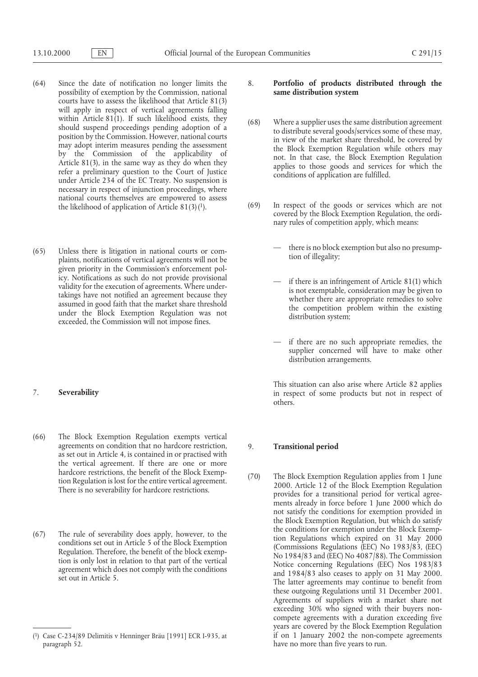- possibility of exemption by the Commission, national **same distribution system** courts have to assess the likelihood that Article 81(3) will apply in respect of vertical agreements falling within Article 81(1). If such likelihood exists, they<br>should suspend proceedings pending adoption of a<br>position by the Commission. However, national courts<br>may adopt interim measures pending the assessment<br>by the Commissio necessary in respect of injunction proceedings, where
- there is no block exemption but also no presump- (65) Unless there is litigation in national courts or com- tion of illegality; plaints, notifications of vertical agreements will not be given priority in the Commission's enforcement policy. Notifications as such do not provide provisional icy. Notifications as such do not provide provisional<br>validity for the execution of agreements. Where under-<br>takings have not notified an agreement because they<br>assumed in good faith that the market share threshold<br>under t

- (66) The Block Exemption Regulation exempts vertical agreements on condition that no hardcore restriction, 9. **Transitional period** as set out in Article 4, is contained in or practised with the vertical agreement. If there are one or more hardcore restrictions, the benefit of the Block Exemp-
- 

## (64) Since the date of notification no longer limits the 8. **Portfolio of products distributed through the**

- 
- national courts themselves are empowered to assess<br>the likelihood of application of Article 81(3)(1). (69) In respect of the goods or services which are not<br>covered by the Block Exemption Regulation, the ordinary rules of competition apply, which means:
	-
	-
	- if there are no such appropriate remedies, the supplier concerned will have to make other distribution arrangements.

This situation can also arise where Article 82 applies 7. **Severability** in respect of some products but not in respect of others.

The Block Exemption Regulation applies from 1 June<br>tion Regulation is lost for the entire vertical agreement.<br>There is no severability for hardcore restrictions.<br>There is no severability for hardcore restrictions.<br>provides ments already in force before 1 June 2000 which do not satisfy the conditions for exemption provided in the Block Exemption Regulation, but which do satisfy (67) The rule of severability does apply, however, to the conditions for exemption under the Block Exemption set out in Article 5 of the Block Exemption<br>
commissions Regulations (EEC) No 1983/83, (EEC)<br>
Regulation. Theref these outgoing Regulations until 31 December 2001. Agreements of suppliers with a market share not exceeding 30% who signed with their buyers noncompete agreements with a duration exceeding five years are covered by the Block Exemption Regulation (1) Case C-234/89 Delimitis v Henninger Bräu [1991] ECR I-935, at if on 1 January 2002 the non-compete agreements

paragraph 52. have no more than five years to run.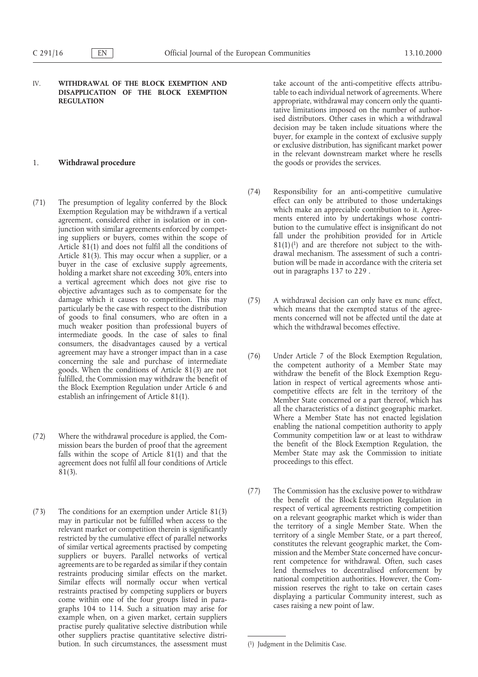## IV. **WITHDRAWAL OF THE BLOCK EXEMPTION AND** take account of the anti-competitive effects attribu-**DISAPPLICATION OF THE BLOCK EXEMPTION** table to each individual network of agreements. Where

- buyer in the case of exclusive supply agreements, bution will be made in accordance holding a market share not exceeding 30% enters into holding a market share not exceeding 30%, enters into a vertical agreement which does not give rise to objective advantages such as to compensate for the damage which it causes to competition. This may (75) A withdrawal decision can only have ex nunc effect, much weaker position than professional buyers of which the withdrawal becomes effective. intermediate goods. In the case of sales to final consumers, the disadvantages caused by a vertical
- falls within the scope of Article 81(1) and that the Member State may ask the Article agreement does not fulfil all four conditions of Article proceedings to this effect. agreement does not fulfil all four conditions of Article 81(3).
- (73) The conditions for an exemption under Article 81(3) respect of vertical agreements restricting competition<br>may in particular not be fulfilled when access to the<br>relation the competition therein is significantly<br>the te example when, on a given market, certain suppliers practise purely qualitative selective distribution while other suppliers practise quantitative selective distribution. In such circumstances, the assessment must (1) Judgment in the Delimitis Case.

**REGULATION** appropriate, withdrawal may concern only the quantitative limitations imposed on the number of authorised distributors. Other cases in which a withdrawal decision may be taken include situations where the buyer, for example in the context of exclusive supply or exclusive distribution, has significant market power in the relevant downstream market where he resells 1. **Withdrawal procedure** the goods or provides the services.

- (74) Responsibility for an anti-competitive cumulative (71) The presumption of legality conferred by the Block effect can only be attributed to those undertakings which make an appreciable contribution to it. Agree-Exemption Regulation may be withdrawn if a vertical which make an appreciable contribution to it. Agree-<br>agreement considered either in isolation or in con-<br>ments entered into by undertakings whose contriagreement, considered either in isolation or in con-<br>
junction with similar agreements enforced by compet-<br>
ing suppliers or buyers, comes within the scope of<br>
Article 81(1) and does not fulfil all the conditions of<br>
Artic Article 81(3). This may occur when a supplier, or a drawal mechanism. The assessment of such a contri-<br>button will be made in accordance with the criteria set
	- particularly be the case with respect to the distribution which means that the exempted status of the agree of goods to final consumers, who are often in a ments concerned will not be affected until the date at
- agreement may have a stronger impact than in a case<br>concerning the sale and purchase of intermediate<br>goods. When the conditions of Article 81(3) are not<br>fulfilled, the Commission may withdraw the benefit of<br>the Block Exemp all the characteristics of a distinct geographic market. Where a Member State has not enacted legislation enabling the national competition authority to apply (72) Where the withdrawal procedure is applied, the Com-<br>mission bears the burden of proof that the agreement the benefit of the Block Exemption Regulation, the mission bears the burden of proof that the agreement the benefit of the Block Exemption Regulation, the falls within the scope of Article 81(1) and that the Member State may ask the Commission to initiate
	- (77) The Commission has the exclusive power to withdraw the benefit of the Block Exemption Regulation in respect of vertical agreements restricting competition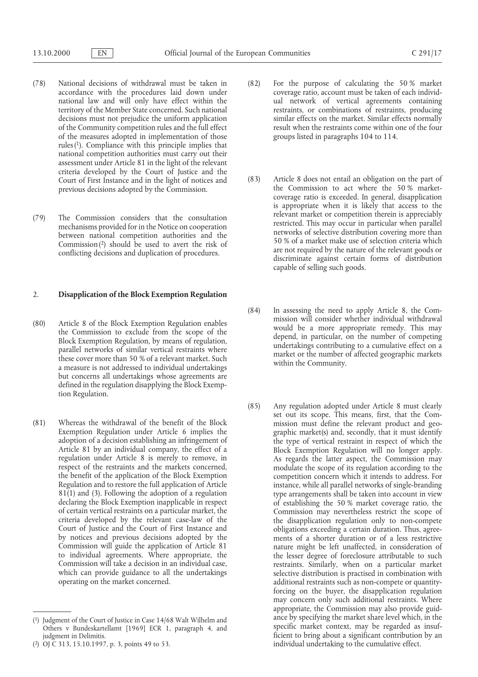- decisions must not prejudice the uniform application of the measures adopted in implementation of those rules (1). Compliance with this principle implies that national competition authorities must carry out their assessment under Article 81 in the light of the relevant criteria developed by the Court of Justice and the
- 

### 2. **Disapplication of the Block Exemption Regulation**

- but concerns all undertakings whose agreements are defined in the regulation disapplying the Block Exemption Regulation.
- Article 81 by an individual company, the effect of a regulation under Article 8 is merely to remove, in
- (78) National decisions of withdrawal must be taken in (82) For the purpose of calculating the 50 % market accordance with the procedures laid down under coverage ratio, account must be taken of each individnational law and will only have effect within the ual network of vertical agreements containing territory of the Member State concerned. Such national restraints, or combinations of restraints, producing decisions must not prejudice the uniform application similar effects on the market. Similar effects normally of the Community competition rules and the full effect result when the restraints come within one of the four<br>of the measures adopted in implementation of those groups listed in paragraphs 104 to 114.
- Court of First Instance and in the light of notices and (83) Article 8 does not entail an obligation on the part of previous decisions adopted by the Commission. the Commission to act where the 50 % marketcoverage ratio is exceeded. In general, disapplication is appropriate when it is likely that access to the (79) The Commission considers that the consultation mechanisms provided for in the Notice on cooperation enters is appreciably mechanisms provided for in the Notice on cooperation enters in the metworks of selective distri capable of selling such goods.
- (84) In assessing the need to apply Article 8, the Com-(80) Article 8 of the Block Exemption Regulation enables<br>the Commission to exclude from the scope of the<br>Block Exemption Regulation, by means of regulation,<br>parallel networks of similar vertical restraints where<br>these cove
- (85) Any regulation adopted under Article 8 must clearly set out its scope. This means, first, that the Com- (81) Whereas the withdrawal of the benefit of the Block mission must define the relevant product and geo-<br>Exemption Regulation under Article 6 implies the graphic market(s) and, secondly, that it must identify graphic market(s) and, secondly, that it must identify adoption of a decision establishing an infringement of the type of vertical restraint in respect of which the Article 81 by an individual company, the effect of a Block Exemption Regulation will no longer apply. regulation under Article 8 is merely to remove, in As regards the latter aspect, the Commission may respect of the restraints and the markets concerned, modulate the scope of its regulation according to the respect of the restraints and the markets concerned, modulate the scope of its regulation according to the the benefit of the application of the Block Exemption the benefit of the application of the Block Exemption competition concern which it intends to address. For<br>Regulation and to restore the full application of Article<br>instance, while all parallel networks of single-branding instance, while all parallel networks of single-branding 81(1) and (3). Following the adoption of a regulation type arrangements shall be taken into account in view declaring the Block Exemption inapplicable in respect of establishing the 50 % market coverage ratio, the of establishing the 50 % market coverage ratio, the of certain vertical restraints on a particular market, the Commission may nevertheless restrict the scope of criteria developed by the relevant case-law of the the disapplication regulation only to non-compete<br>Court of Justice and the Court of First Instance and bligations exceeding a certain duration. Thus, agreeobligations exceeding a certain duration. Thus, agreeby notices and previous decisions adopted by the ments of a shorter duration or of a less restrictive commission will guide the application of Article 81 Commission will guide the application of Article 81 nature might be left unaffected, in consideration of to individual agreements. Where appropriate, the the lesser degree of foreclosure attributable to such to individual agreements. Where appropriate, the the lesser degree of foreclosure attributable to such Commission will take a decision in an individual case, extraints. Similarly, when on a particular market Commission will take a decision in an individual case, extraints. Similarly, when on a particular market which can provide guidance to all the undertakings selective distribution is practised in combination with which can provide guidance to all the undertakings selective distribution is practised in combination with operating on the market concerned.<br>additional restraints such as non-compete or quantityadditional restraints such as non-compete or quantityforcing on the buyer, the disapplication regulation may concern only such additional restraints. Where appropriate, the Commission may also provide guid-<sup>(1)</sup> Judgment of the Court of Justice in Case 14/68 Walt Wilhelm and ance by specifying the market share level which, in the (1) others v Bundeskartellamt [1969] ECR 1. paragraph 4. and specific market context, may be reg judgment in Delimitis.<br>
(2) OJ C 313, 15.10.1997, p. 3, points 49 to 53.<br>
individual undertaking to the cumulative effect. individual undertaking to the cumulative effect.

Others v Bundeskartellamt [1969] ECR 1, paragraph 4, and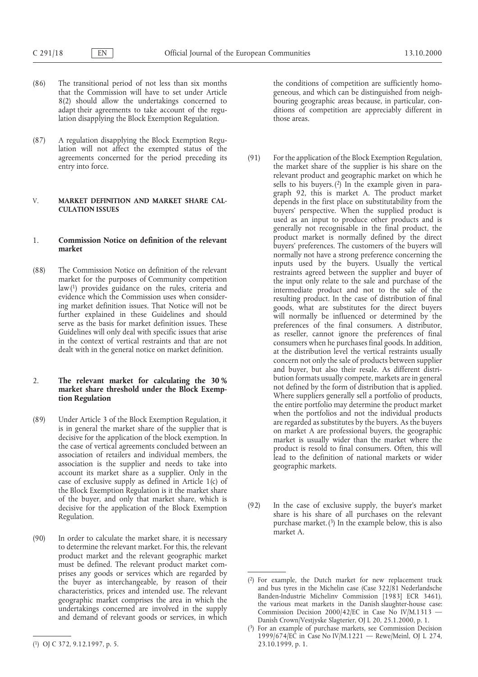- (86) The transitional period of not less than six months the conditions of competition are sufficiently homolation disapplying the Block Exemption Regulation. those areas.
- (87) A regulation disapplying the Block Exemption Regulation will not affect the exempted status of the

- association of retailers and individual members, the account its markets are supplier and needs to take into account its market share as a supplier. Only in the case of exclusive supply as defined in Article 1(c) of the Block Exemption Regulation is it the market share of the buyer, and only that market share, which is
- (90) In order to calculate the market share, it is necessary to determine the relevant market. For this, the relevant product market and the relevant geographic market must be defined. The relevant product market com-

that the Commission will have to set under Article geneous, and which can be distinguished from neigh-8(2) should allow the undertakings concerned to bouring geographic areas because, in particular, conadapt their agreements to take account of the regu- ditions of competition are appreciably different in

- agreements concerned for the period preceding its (91) For the application of the Block Exemption Regulation, entry into force. the market share of the supplier is his share on the supplier is his share on the relevant product and geographic market on which he sells to his buyers.  $(2)$  In the example given in paragraph 92, this is market A. The product market V. **MARKET DEFINITION AND MARKET SHARE CAL-**<br>CULATION ISSUES buyers' perspective. When the supplied product is buyers' perspective. When the supplied product is used as an input to produce other products and is generally not recognisable in the final product, the product market is normally defined by the direct 1. **Commission Notice on definition of the relevant market buyers'** preferences. The customers of the buyers will normally not have a strong preference concerning the (88) The Commission Notice on definition of the relevant<br>
market for the purposes of Community competition<br>
law(<sup>1</sup>) provides guidance on the rules, criteria and<br>
evidence which the Commission uses when consider-<br>
ing mark concern not only the sale of products between supplier and buyer, but also their resale. As different distribution formats usually compete, markets are in general 2. **The relevant market for calculating the 30 % market share threshold under the Block Exemp-**<br> **market share threshold under the Block Exemp-**<br>
Where suppliers generally sell a portfolio of products, **Exception Regulation**<br>
Where suppliers generally sell a portfolio of products,<br>
the entire portfolio may determine the product market<br>
when the portfolios and not the individual products (89) Under Article 3 of the Block Exemption Regulation, it<br>
is in general the market share of the supplier that is<br>
decisive for the application of the block exemption. In<br>
the case of vertical agreements concluded between
	- decisive for the application of the Block Exemption (92) In the case of exclusive supply, the buyer's market decisive for the application of the Block Exemption (92) In the case of exclusive supply, the buyer's market Reg market A.

<sup>(1)</sup> OJ C 372, 9.12.1997, p. 5.

prises any goods or services which are regarded by<br>the buyer as interchangeable, by reason of their<br>characteristics, prices and intended use. The relevant<br>geographic market comprises the area in which the<br>undertakings conc

<sup>(3)</sup> For an example of purchase markets, see Commission Decision 1999/674/EC in Case No IV/M.1221 — Rewe/Meinl, OJ L 274,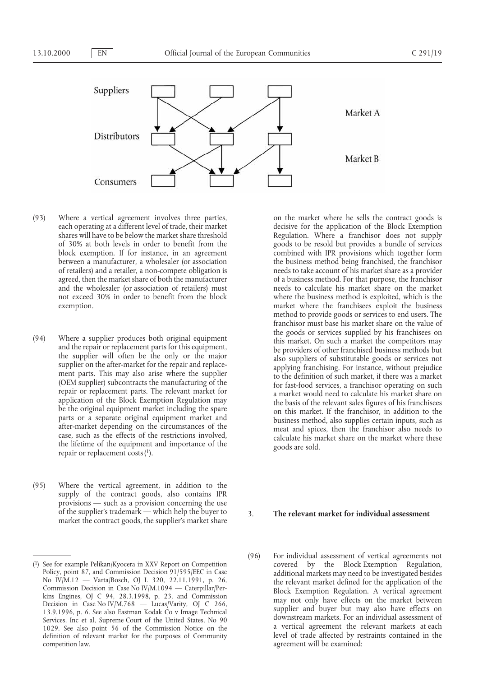

- (93) Where a vertical agreement involves three parties, on the market where he sells the contract goods is each operating at a different level of trade, their market decisive for the application of the Block Exemption shares will have to be below the market share threshold Regulation. Where a franchisor does not supply shares will have to be below the market share threshold<br>
of 30% at both levels in order to benefit from the spoods to be resold but provides a bundle of services block exemption. If for instance, in an agreement combined with IPR provisions which together form between a manufacturer, a wholesaler (or association the business method being franchised, the franchisor of retailers) and a retailer, a non-compete obligation is needs to take account of his market share as a provider agreed, then the market share of both the manufacturer of a business method. For that purpose, the franchisor and the wholesaler (or association of retailers) must needs to calculate his market share on the market not exceed 30% in order to benefit from the block where the business method is exploited, which is the
- (94) Where a supplier produces both original equipment<br>
and the repair or replacement parts for this equipment<br>
and the repair or replacement parts for this equipment,<br>
this market the competitors may<br>
and the supplier wil
- (95) Where the vertical agreement, in addition to the supply of the contract goods, also contains IPR provisions — such as a provision concerning the use of the supplier's trademark — which help the buyer to 3. **The relevant market for individual assessment** market the contract goods, the supplier's market share

goods to be resold but provides a bundle of services exemption. market where the franchisees exploit the business method to provide goods or services to end users. The franchisor must base his market share on the value of

(96) For individual assessment of vertical agreements not (1) See for example Pelikan/Kyocera in XXV Report on Competition<br>
Policy, point 87, and Commission Decision 91/595/EEC in Case<br>
No IV/M.12 — Varta/Bosch, OJ L 320, 22.11.1991, p. 26,<br>
Commission Decision in Case No IV/M.1 1029. See also point 56 of the Commission Notice on the a vertical agreement the relevant markets at each definition of relevant market for the purposes of Community level of trade affected by restraints contained in the

definition of relevant market for the purposes of Community competition law. agreement will be examined: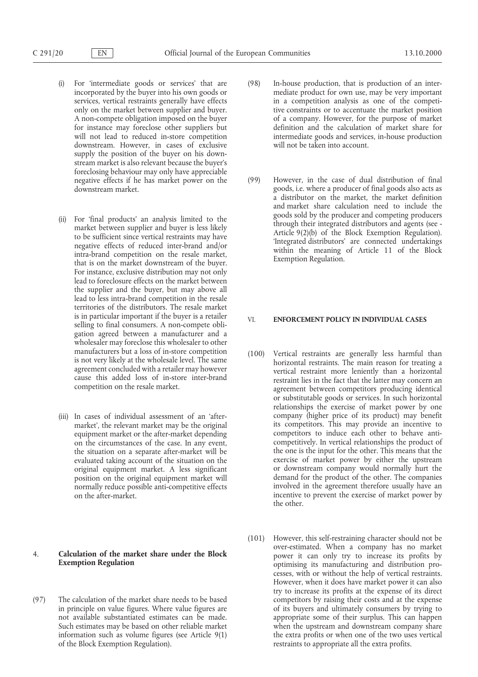- downstream. However, in cases of exclusive supply the position of the buyer on his downstream market is also relevant because the buyer's foreclosing behaviour may only have appreciable
- For instance, exclusive distribution may not only lead to foreclosure effects on the market between the supplier and the buyer, but may above all lead to less intra-brand competition in the resale territories of the distributors. The resale market is in particular important if the buyer is a retailer  $V_I$ . **ENFORCEMENT POLICY IN INDIVIDUAL CASES** selling to final consumers. A non-compete obligation agreed between a manufacturer and a wholesaler may foreclose this wholesaler to other
- evaluated taking account of the situation on the original equipment market. A less significant position on the original equipment market will

of the Block Exemption Regulation). restraints to appropriate all the extra profits.

- (i) For 'intermediate goods or services' that are (98) In-house production, that is production of an interincorporated by the buyer into his own goods or mediate product for own use, may be very important services, vertical restraints generally have effects in a competition analysis as one of the competi-<br>only on the market between supplier and buyer. The constraints or to accentuate the market position tive constraints or to accentuate the market position A non-compete obligation imposed on the buyer of a company. However, for the purpose of market for instance may foreclose other suppliers but definition and the calculation of market share for for instance may foreclose other suppliers but definition and the calculation of market share for will not lead to reduced in-store competition intermediate goods and services, in-house production intermediate goods and services, in-house production will not be taken into account.
- (99) However, in the case of dual distribution of final downstream market. goods, i.e. where a producer of final goods also acts as a distributor on the market, the market definition and market share calculation need to include the goods sold by the producer and competing producers (ii) For 'final products' an analysis limited to the<br>
market between supplier and buyer is less likely<br>
to be sufficient since vertical restraints may have<br>
negative effects of reduced inter-brand and/or<br>
intra-brand compe

- manufacturers but a loss of in-store competition is not very likely at the wholesale level. The same agreement concluded with a retailer may however and a series and a series and a morizontal restraints. The main reason fo or substitutable goods or services. In such horizontal relationships the exercise of market power by one (iii) In cases of individual assessment of an 'after- company (higher price of its product) may benefit market', the relevant market may be the original its competitors. This may provide an incentive to equipment market or the after-market depending competitors to induce each other to behave antiequipment market or the after-market depending competitors to induce each other to behave anti-<br>on the circumstances of the case. In any event. Competitively. In vertical relationships the product of on the circumstances of the case. In any event, competitively. In vertical relationships the product of the situation on a separate after-market will be the one is the input for the other. This means that the the situation on a separate after-market will be the one is the input for the other. This means that the evaluated taking account of the situation on the exercise of market power by either the upstream or downstream company would normally hurt the demand for the product of the other. The companies normally reduce possible anti-competitive effects involved in the agreement therefore usually have an on the after-market. incentive to prevent the exercise of market power by the other.
- (101) However, this self-restraining character should not be 4. **Calculation of the market share under the Block** over-estimated. When a company has no market power it can only try to increase its profits by **Exemption Regulation** cesses, with or without the help of vertical restraints. However, when it does have market power it can also try to increase its profits at the expense of its direct (97) The calculation of the market share needs to be based competitors by raising their costs and at the expense in principle on value figures. Where value figures are  $\sigma$  of its buyers and ultimately consumers by trying to not available substantiated estimates can be made. appropriate some of their surplus. This can happen Such estimates may be based on other reliable market when the upstream and downstream company share information such as volume figures (see Article 9(1) the extra profits or when one of the two uses vertical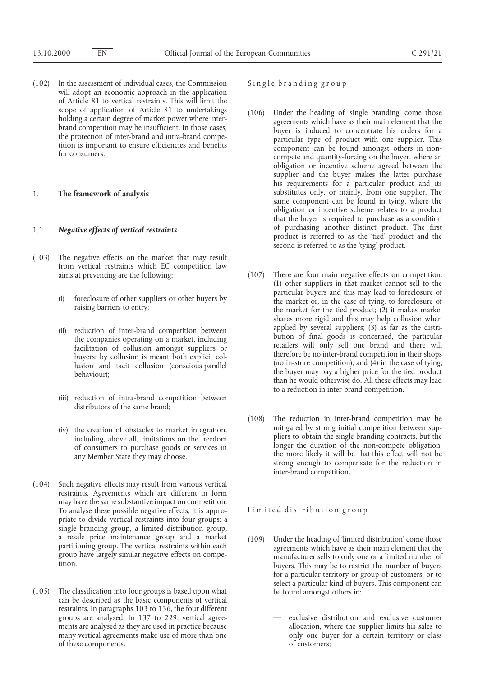$(102)$  In the assessment of individual cases, the Commission Single branding group will adopt an economic approach in the application of Article 81 to vertical restraints. This will limit the

- (103) The negative effects on the market that may result from vertical restraints which EC competition law
	-
	-
	- (iii) reduction of intra-brand competition between distributors of the same brand;
	-
- (104) Such negative effects may result from various vertical restraints. Agreements which are different in form may have the same substantive impact on competition. To analyse these possible negative effects, it is appro- Limited distribution group priate to divide vertical restraints into four groups: a single branding group, a limited distribution group,
- restraints. In paragraphs 103 to 136, the four different groups are analysed. In 137 to 229, vertical agree-<br>ments are analysed as they are used in practice because allocation, where the supplier limits his sales to ments are analysed as they are used in practice because many vertical agreements make use of more than one only one buyer for a certain territory or class of these components.  $\qquad \qquad$  of customers;

- scope of application of Article 81 to undertakings<br>holding a certain degree of market power where inter-<br>brand competition may be insufficient. In those cases,<br>the protection of inter-brand and intra-brand compe-<br>tition is obligation or incentive scheme agreed between the supplier and the buyer makes the latter purchase his requirements for a particular product and its 1. **The framework of analysis** substitutes only, or mainly, from one supplier. The same component can be found in tying, where the obligation or incentive scheme relates to a product that the buyer is required to purchase as a condition 1.1. *Negative effects of vertical restraints* **product** is referred to as the 'tied' product and the product is referred to as the 'tied' product and the second is referred to as the 'tying' product.
	- aims at preventing are the following: (107) There are four main negative effects on competition: (1) other suppliers in that market cannot sell to the (i) foreclosure of other suppliers or other buyers by<br>raising barriers to entry;<br>the market or, in the case of tying, to foreclosure of<br>the market for the tied product; (2) it makes market shares more rigid and this may help collusion when applied by several suppliers; (3) as far as the distri-(ii) reduction of inter-brand competition between<br>the companies operating on a market, including<br>facilitation of collusion amongst suppliers or<br>final goods is concerned, the particular<br>facilitation of collusion amongst sup to a reduction in inter-brand competition.
	- (108) The reduction in inter-brand competition may be (iv) the creation of obstacles to market integration,<br>including, above all, limitations on the freedom<br>of consumers to purchase goods or services in<br>any Member State they may choose.<br>In the single branding contracts, but t inter-brand competition.

- a resale price maintenance group and a market partitioning group. The vertical restraints within each group have largely similar negative effects on compe-<br>group have largely similar negative effects on compe-<br>tition. for a particular territory or group of customers, or to select a particular kind of buyers. This component can (105) The classification into four groups is based upon what be found amongst others in: can be described as the basic components of vertical
	-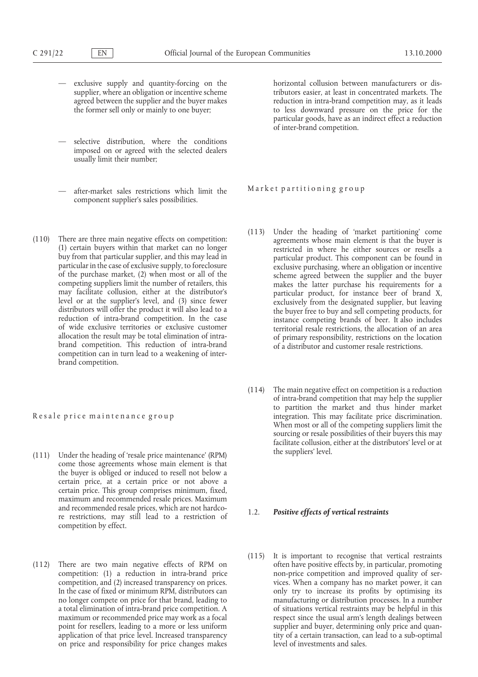- exclusive supply and quantity-forcing on the horizontal collusion between manufacturers or dis-
- selective distribution, where the conditions imposed on or agreed with the selected dealers usually limit their number;
- after-market sales restrictions which limit the Market partitioning group component supplier's sales possibilities.
- competition can in turn lead to a weakening of interbrand competition.

- the suppliers' level. (111) Under the heading of 'resale price maintenance' (RPM) come those agreements whose main element is that the buyer is obliged or induced to resell not below a certain price, at a certain price or not above a certain price. This group comprises minimum, fixed, maximum and recommended resale prices. Maximum<br>and recommended resale prices, which are not hardcoand recommended resale prices, which are not hardco- 1.2. *Positive effects of vertical restraints* re restrictions, may still lead to a restriction of competition by effect.
- on price and responsibility for price changes makes level of investments and sales.

supplier, where an obligation or incentive scheme tributors easier, at least in concentrated markets. The agreed between the supplier and the buyer makes reduction in intra-brand competition may, as it leads the former sell only or mainly to one buyer; to less downward pressure on the price for the particular goods, have as an indirect effect a reduction of inter-brand competition.

- (110) There are three main negative effects on competition:<br>
(113) Under the heading of 'market partitioning' come<br>
(113) Under the heading of 'market partitioning' come<br>
agreements whose main element is that the buyer is<br> buy from that particular supplier, and this may lead in<br>particular product. This component can be found in<br>particular in the case of exclusive supply, to foreclosure<br>of the purchase market, (2) when most or all of the<br>comp of wide exclusive territories or exclusive customer<br>allocation the result may be total elimination of intra-<br>brand of primary responsibility, restrictions on the location<br>brand competition. This reduction of intra-brand of
- (114) The main negative effect on competition is a reduction of intra-brand competition that may help the supplier to partition the market and thus hinder market Resale price maintenance group integration. This may facilitate price discrimination. When most or all of the competing suppliers limit the sourcing or resale possibilities of their buyers this may facilitate collusion, either at the distributors' level or at

(115) It is important to recognise that vertical restraints (112) There are two main negative effects of RPM on often have positive effects by, in particular, promoting competition: (1) a reduction in intra-brand price non-price competition and improved quality of sercompetition, and (2) increased transparency on prices. vices. When a company has no market power, it can In the case of fixed or minimum RPM, distributors can only try to increase its profits by optimising its no longer compete on price for that brand, leading to manufacturing or distribution processes. In a number a total elimination of intra-brand price competition. A of situations vertical restraints may be helpful in this maximum or recommended price may work as a focal respect since the usual arm's length dealings between point for resellers, leading to a more or less uniform supplier and buyer, determining only price and quanapplication of that price level. Increased transparency tity of a certain transaction, can lead to a sub-optimal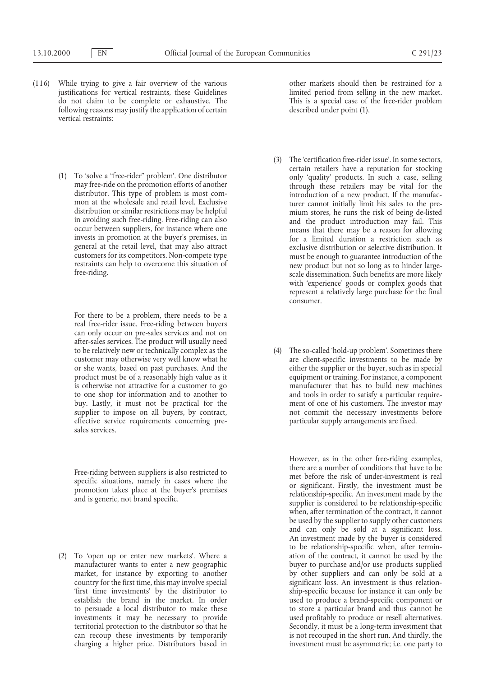- (116) While trying to give a fair overview of the various other markets should then be restrained for a justifications for vertical restraints, these Guidelines limited period from selling in the new market. do not claim to be complete or exhaustive. The This is a special case of the free-rider problem following reasons may justify the application of certain described under point (1). vertical restraints:
	-

For there to be a problem, there needs to be a real free-rider issue. Free-riding between buyers can only occur on pre-sales services and not on after-sales services. The product will usually need to be relatively new or technically complex as the effective service requirements concerning pre- particular supply arrangements are fixed. sales services.

manufacturer wants to enter a new geographic buyer to purchase and/or use products supplied market, for instance by exporting to another by other suppliers and can only be sold at a country for the first time, this may involve special significant loss. An investment is thus relation-'first time investments' by the distributor to ship-specific because for instance it can only be establish the brand in the market. In order used to produce a brand-specific component or to persuade a local distributor to make these to store a particular brand and thus cannot be investments it may be necessary to provide used profitably to produce or resell alternatives. territorial protection to the distributor so that he Secondly, it must be a long-term investment that can recoup these investments by temporarily is not recouped in the short run. And thirdly, the charging a higher price. Distributors based in investment must be asymmetric; i.e. one party to

- (3) The 'certification free-rider issue'. In some sectors, (1) To 'solve a "free-rider" problem'. One distributor<br>
may free-ride on the promotion efforts of another<br>
distributor. This type of problem is most com-<br>
distributor. This type of problem is most com-<br>
distribution or sim invests in promotion at the buyer's premises, in for a limited duration a restriction such as<br>general at the retail level, that may also attract exclusive distribution or selective distribution. It<br>customers for its compet customers for its competitors. Non-compete type must be enough to guarantee introduction of the restraints can help to overcome this situation of the mew product but not so long as to hinder large-<br>free-riding. Such benefi with 'experience' goods or complex goods that represent a relatively large purchase for the final consumer.
	- (4) The so-called 'hold-up problem'. Sometimes there customer may otherwise very well know what he are client-specific investments to be made by or she wants, based on past purchases. And the either the supplier or the buyer, such as in special or she wants, based on past purchases. And the either the supplier or the buyer, such as in special product must be of a reasonably high value as it equipment or training. For instance, a component equipment or training. For instance, a component is otherwise not attractive for a customer to go manufacturer that has to build new machines to one shop for information and to another to and tools in order to satisfy a particular requirebuy. Lastly, it must not be practical for the ment of one of his customers. The investor may supplier to impose on all buyers, by contract, and the necessary investments before

However, as in the other free-riding examples, Free-riding between suppliers is also restricted to<br>specific situations, namely in cases where the<br>promotion takes place at the buyer's premises<br>and is generic, not brand specific.<br>An investment made by the<br>supplier is con when, after termination of the contract, it cannot be used by the supplier to supply other customers and can only be sold at a significant loss. An investment made by the buyer is considered to be relationship-specific when, after termin- (2) To 'open up or enter new markets'. Where a ation of the contract, it cannot be used by the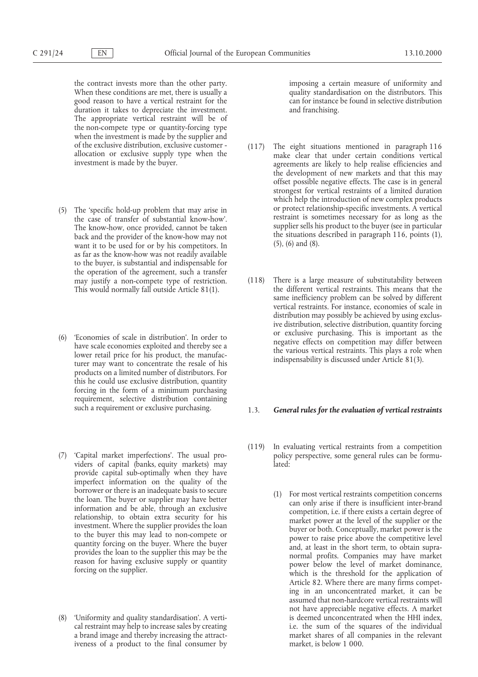the contract invests more than the other party. imposing a certain measure of uniformity and When these conditions are met, there is usually a quality standardisation on the distributors. This good reason to have a vertical restraint for the can for instance be found in selective distribution duration it takes to depreciate the investment. and franchising. The appropriate vertical restraint will be of the non-compete type or quantity-forcing type when the investment is made by the supplier and<br>of the exclusive distribution, exclusive customer -

- back and the provider of the know-how may not the situations of the situations ( $\frac{1}{2}$ ), (6), and (8), points (5), (6) and (8), want it to be used for or by his competitors. In as far as the know-how was not readily available to the buyer, is substantial and indispensable for the operation of the agreement, such a transfer
- products on a limited number of distributors. For this he could use exclusive distribution, quantity forcing in the form of a minimum purchasing requirement, selective distribution containing
- viders of capital (banks, equity markets) may lated: provide capital sub-optimally when they have imperfect information on the quality of the borrower or there is an inadequate basis to secure
- iveness of a product to the final consumer by market, is below 1 000.

- of the exclusive distribution, exclusive customer (117) The eight situations mentioned in paragraph 116 allocation or exclusive supply type when the make clear that under certain conditions vertical aversements are likel agreements are likely to help realise efficiencies and the development of new markets and that this may offset possible negative effects. The case is in general strongest for vertical restraints of a limited duration which help the introduction of new complex products or protect relationship-specific investments. A vertical (5) The 'specific hold-up problem that may arise in restraint is sometimes necessary for as long as the the case of transfer of substantial know-how'. The know-how, once provided, cannot be taken supplier sells his product to the buyer (see in particular hack and the provider of the know-how may not the situations described in paragraph 116, points (1),
- may justify a non-compete type of restriction. (118) There is a large measure of substitutability between This would normally fall outside Article 81(1). the different vertical restraints. This means that the same inefficiency problem can be solved by different vertical restraints. For instance, economies of scale in distribution may possibly be achieved by using exclusive distribution, selective distribution, quantity forcing<br>or exclusive purchasing. This is important as the (6) 'Economies of scale in distribution'. In order to<br>have scale economies exploited and thereby see a<br>lower retail price for his product, the manufac-<br>turer may want to concentrate the resale of his<br>dispensability is disc

### such a requirement or exclusive purchasing. 1.3. General rules for the evaluation of vertical restraints

- (119) In evaluating vertical restraints from a competition (7) 'Capital market imperfections'. The usual pro- policy perspective, some general rules can be formu-
- borrower or there is an inadequate basis to secure<br>the loan. The buyer or supplier may have better<br>information and be able, through an exclusive<br>relationship, to obtain extra security for his<br>investment. Where the supplier Article 82. Where there are many firms competing in an unconcentrated market, it can be assumed that non-hardcore vertical restraints will not have appreciable negative effects. A market (8) 'Uniformity and quality standardisation'. A verti- is deemed unconcentrated when the HHI index, cal restraint may help to increase sales by creating i.e. the sum of the squares of the individual a brand image and thereby increasing the attract- market shares of all companies in the relevant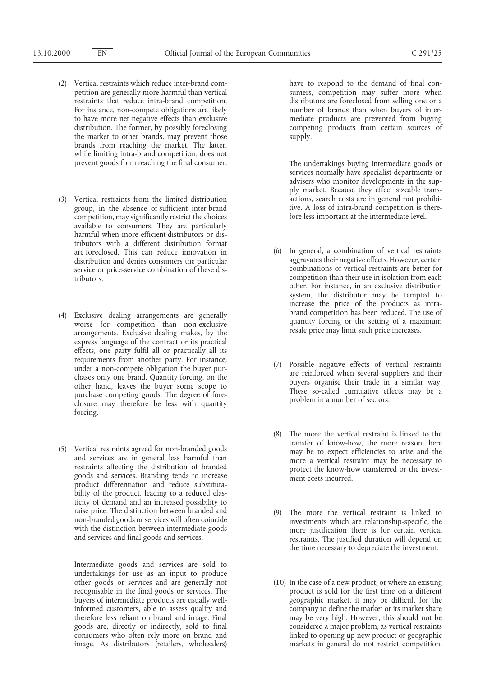- (2) Vertical restraints which reduce inter-brand com- have to respond to the demand of final conpetition are generally more harmful than vertical sumers, competition may suffer more when restraints that reduce intra-brand competition. distributors are foreclosed from selling one or a<br>For instance, non-compete obligations are likely and the number of brands than when buyers of inter-For instance, non-compete obligations are likely to have more net negative effects than exclusive mediate products are prevented from buying distribution. The former, by possibly foreclosing competing products from certain sources of the market to other brands, may prevent those supply. brands from reaching the market. The latter, while limiting intra-brand competition, does not prevent goods from reaching the final consumer.
- (3) Vertical restraints from the limited distribution actions, search costs are in general not prohibigroup, in the absence of sufficient inter-brand tive. A loss of intra-brand competition is the competition is the competition is the competition is the competition is the competition is the competition is the competition i competition, may significantly restrict the choices available to consumers. They are particularly harmful when more efficient distributors or distributors with a different distribution format service or price-service combination of these dis-
- worse for competition than non-exclusive quantity forcing or the setting of a max<br>arrangements. Exclusive dealing makes by the settle received and the may limit such price increases. arrangements. Exclusive dealing makes, by the express language of the contract or its practical effects, one party fulfil all or practically all its requirements from another party. For instance, requirements from another party. For instance,<br>
under a non-compete obligation the buyer pur-<br>
chases only one brand. Quantity forcing, on the<br>
other hand, leaves the buyer some scope to<br>
purchase competing goods. The degr forcing.
- (5) Vertical restraints agreed for non-branded goods<br>and services are in general less harmful than<br>restraints affecting the distribution of branded<br>goods and services. Branding tends to increase<br>product differentiation and bility of the product, leading to a reduced elasticity of demand and an increased possibility to

Intermediate goods and services are sold to undertakings for use as an input to produce other goods or services and are generally not (10) In the case of a new product, or where an existing

The undertakings buying intermediate goods or services normally have specialist departments or advisers who monitor developments in the supply market. Because they effect sizeable trans-<br>actions, search costs are in general not prohibi-

- $(6)$  In general, a combination of vertical restraints distribution and denies consumers the particular aggravates their negative effects. However, certain aggravates their negative effects. However, certain service or price-service combination of these discussed and denies of tributors. competition than their use in isolation from each other. For instance, in an exclusive distribution system, the distributor may be tempted to increase the price of the products as intra-<br>brand competition has been reduced. The use of (4) Exclusive dealing arrangements are generally brand competition has been reduced. The use of (4) Exclusive dealing arrangements are generally quantity forcing or the setting of a maximum
	-
	- (8) The more the vertical restraint is linked to the
	- raise price. The distinction between branded and<br>non-branded goods or services will often coincide<br>with the distinction between intermediate goods<br>and services and final goods and services.<br>The justification there is for c the time necessary to depreciate the investment.
	- recognisable in the final goods or services. The product is sold for the first time on a different buyers of intermediate products are usually well- geographic market, it may be difficult for the informed customers, able to assess quality and company to define the market or its market share therefore less reliant on brand and image. Final may be very high. However, this should not be goods are, directly or indirectly, sold to final considered a major problem, as vertical restraints consumers who often rely more on brand and linked to opening up new product or geographic image. As distributors (retailers, wholesalers) markets in general do not restrict competition.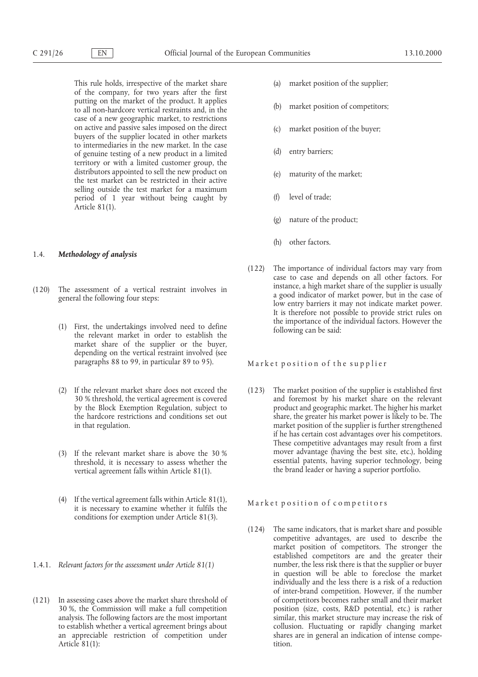This rule holds, irrespective of the market share (a) market position of the supplier; of the company, for two years after the first putting on the market of the product. It applies to all non-hardcore vertical restraints and, in the (b) market position of competitors; case of a new geographic market, to restrictions on active and passive sales imposed on the direct (c) market position of the buyer; buyers of the supplier located in other markets to intermediaries in the new market. In the case (d) entry barriers; of genuine testing of a new product in a limited territory or with a limited customer group, the distributors appointed to sell the new product on (e) maturity of the market; the test market can be restricted in their active selling outside the test market for a maximum period of 1 year without being caught by (f) level of trade; Article 81(1).

### 1.4. *Methodology of analysis*

- - (1) First, the undertakings involved need to define the importance of the relevant market in order to establish the following can be said: market share of the supplier or the buyer, depending on the vertical restraint involved (see paragraphs 88 to 99, in particular 89 to 95). Market position of the supplier
	- (2) If the relevant market share does not exceed the (123) The market position of the supplier is established first
	- vertical agreement falls within Article 81(1). the brand leader or having a superior portfolio.
	- (4) If the vertical agreement falls within Article 81(1), Market position of competitors it is necessary to examine whether it fulfils the conditions for exemption under Article 81(3).
- 
- Article 81(1): tition.
- 
- 
- 
- 
- 
- 
- (g) nature of the product;
- (h) other factors.
- (122) The importance of individual factors may vary from case to case and depends on all other factors. For (120) The assessment of a vertical restraint involves in instance, a high market share of the supplier is usually a good indicator of market power, but in the case of low entry barriers it may not indicate market power. It is therefore not possible to provide strict rules on the importance of the individual factors. However the

30 % threshold, the vertical agreement is covered and foremost by his market share on the relevant by the Block Exemption Regulation, subject to product and geographic market. The higher his market the hardcore restrictions and conditions set out share, the greater his market power is likely to be. The in that regulation. The market position of the supplier is further strengthened if he has certain cost advantages over his competitors. These competitive advantages may result from a first (3) If the relevant market share is above the 30 % mover advantage (having the best site, etc.), holding threshold, it is necessary to assess whether the essential patents, having superior technology, being

(124) The same indicators, that is market share and possible competitive advantages, are used to describe the market position of competitors. The stronger the established competitors are and the greater their 1.4.1. *Relevant factors for the assessment under Article 81(1)* number, the less risk there is that the supplier or buyer in question will be able to foreclose the market individually and the less there is a risk of a reduction of inter-brand competition. However, if the number (121) In assessing cases above the market share threshold of of competitors becomes rather small and their market 30 %, the Commission will make a full competition position (size, costs, R&D potential, etc.) is rather analysis. The following factors are the most important similar, this market structure may increase the risk of to establish whether a vertical agreement brings about collusion. Fluctuating or rapidly changing market an appreciable restriction of competition under shares are in general an indication of intense compe-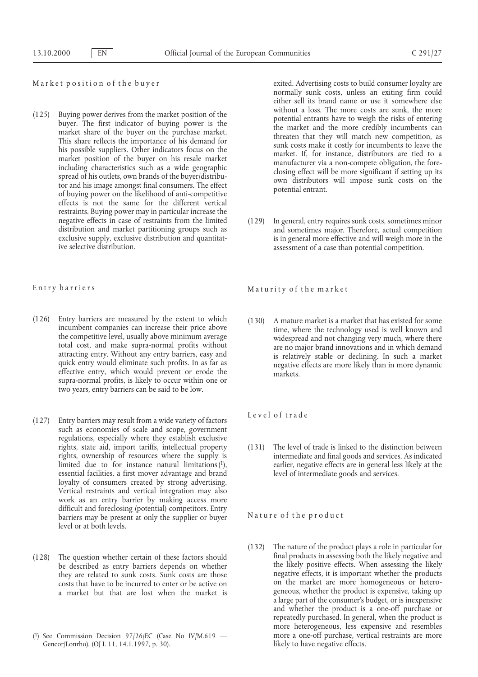(125) Buying power derives from the market position of the<br>buyer. The first indicator of buying power is the<br>market share of the buyer on the purchase market.<br>This share reflects the importance of his demand for<br>his possib effects is not the same for the different vertical restraints. Buying power may in particular increase the

- (126) Entry barriers are measured by the extent to which incumbent companies can increase their price above<br>the competitive level, usually above minimum average<br>total cost, and make supra-normal profits without<br>attracting supra-normal profits, is likely to occur within one or two years, entry barriers can be said to be low.
- Level of trade (127) Entry barriers may result from a wide variety of factors such as economies of scale and scope, government regulations, especially where they establish exclusive essential facilities, a first mover advantage and brand level of intermediate goods and services. loyalty of consumers created by strong advertising. Vertical restraints and vertical integration may also work as an entry barrier by making access more difficult and foreclosing (potential) competitors. Entry  $\blacksquare$  Nature of the product barriers may be present at only the supplier or buyer  $\blacksquare$  Nature of the product level or at both levels.
- a market but that are lost when the market is

M a r k e t p o sition of the buyer exited. Advertising costs to build consumer loyalty are normally sunk costs, unless an exiting firm could either sell its brand name or use it somewhere else

negative effects in case of restraints from the limited (129) In general, entry requires sunk costs, sometimes minor distribution and market partitioning groups such as and sometimes major. Therefore, actual competition distribution and market partitioning groups such as and sometimes major. Therefore, actual competition exclusive supply, exclusive distribution and quantitat-<br>is in general more effective and will weigh more in the exclusive supply, exclusive distribution and quantitat- is in general more effective and will weigh more in the ive selective distribution.<br>assessment of a case than potential competition. assessment of a case than potential competition.

Entry barriers Maturity of the market

rights, state aid, import tariffs, intellectual property (131) The level of trade is linked to the distinction between<br>rights, ownership of resources where the supply is intermediate and final goods and services. As indica intermediate and final goods and services. As indicated limited due to for instance natural limitations (1), earlier, negative effects are in general less likely at the

(132) The nature of the product plays a role in particular for (128) The question whether certain of these factors should final products in assessing both the likely negative and<br>the likely positive effects. When assessing the likely be described as entry barriers depends on whether the likely positive effects. When assessing the likely they are related to sunk costs. Sunk costs are those negative effects, it is important whether the products they are related to sunk costs. Sunk costs are those megative effects, it is important whether the products costs that have to be incurred to enter or be active on costs that have to be incurred to enter or be active on on the market are more homogeneous or hetero-<br>costs that have to be incurred to enter or be active on the market are more homogeneous or hetero-<br>geneous, whether the a large part of the consumer's budget, or is inexpensive and whether the product is a one-off purchase or repeatedly purchased. In general, when the product is more heterogeneous, less expensive and resembles more a one-off purchase, vertical restraints are more

<sup>(1)</sup> See Commission Decision 97/26/EC (Case No IV/M.619 — more a one-off purchase, vert<br>Gencor/Lonrho), (OJ L 11, 14.1.1997, p. 30). likely to have negative effects. Gencor/Lonrho), (OJ L 11, 14.1.1997, p. 30).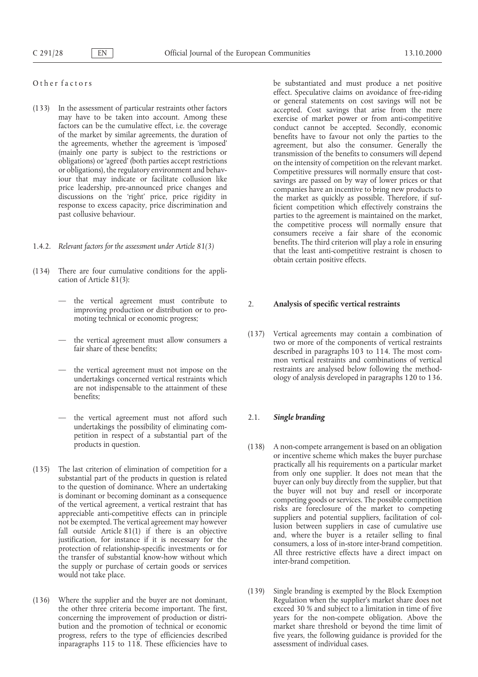- (133) In the assessment of particular restraints other factors<br>
may have to be taken into account. Among these<br>
exercise of market power or from anti-competitive<br>
factors can be the cumulative effect, i.e. the coverage<br>
f
- 
- (134) There are four cumulative conditions for the application of Article 81(3):
	- the vertical agreement must contribute to 2. **Analysis of specific vertical restraints** improving production or distribution or to promoting technical or economic progress;
	-
	- the vertical agreement must not impose on the undertakings concerned vertical restraints which are not indispensable to the attainment of these benefits;
	- the vertical agreement must not afford such 2.1. *Single branding* undertakings the possibility of eliminating competition in respect of a substantial part of the products in question. (138) A non-compete arrangement is based on an obligation
- (135) The last criterion of elimination of competition for a<br>substantial part of the products in question is related<br>to the question of dominance. Where an undertaking<br>the buyer can buy directly from the supplier. But that would not take place.
- inparagraphs 115 to 118. These efficiencies have to assessment of individual cases.

O the r factors be substantiated and must produce a net positive effect. Speculative claims on avoidance of free-riding the competitive process will normally ensure that consumers receive a fair share of the economic<br>benefits. The third criterion will play a role in ensuring 1.4.2. *Relevant factors for the assessment under Article 81(3)* that the least anti-competitive restraint is chosen to obtain certain positive effects.

the vertical agreement must allow consumers a<br>
fair share of these benefits;<br>
the vertical agreements may contain a combination of<br>
two or more of the components of vertical restraints<br>
described in paragraphs 103 to 114. mon vertical restraints and combinations of vertical ology of analysis developed in paragraphs 120 to 136.

- or incentive scheme which makes the buyer purchase
- (139) Single branding is exempted by the Block Exemption (136) Where the supplier and the buyer are not dominant, Regulation when the supplier's market share does not the other three criteria become important. The first, exceed 30 % and subject to a limitation in time of five concerning the improvement of production or distri- years for the non-compete obligation. Above the bution and the promotion of technical or economic market share threshold or beyond the time limit of progress, refers to the type of efficiencies described five years, the following guidance is provided for the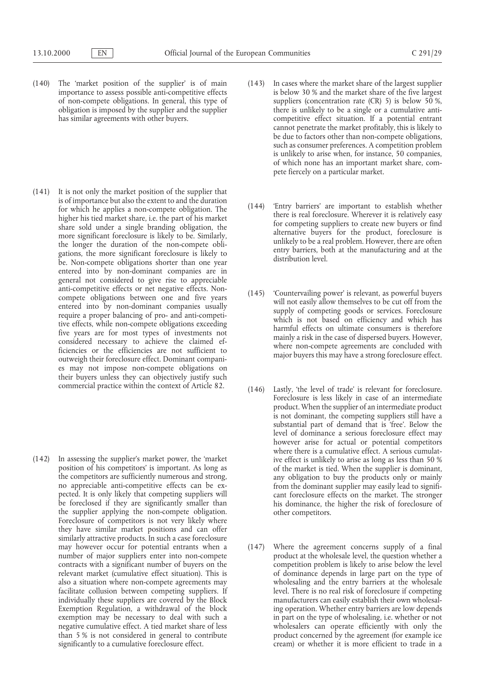- 
- (141) It is not only the market position of the supplier that is of importance but also the extent to and the duration<br>for which he applies a non-compete obligation. The<br>higher his tied market share, i.e. the part of his market<br>share is real foreclosure. Wherever it is relatively eas entered into by non-dominant companies are in general not considered to give rise to appreciable es may not impose non-compete obligations on their buyers unless they can objectively justify such commercial practice within the context of Article 82. (146) Lastly, 'the level of trade' is relevant for foreclosure.
- Foreclosure of competitors is not very likely where they have similar market positions and can offer similarly attractive products. In such a case foreclosure
- (140) The 'market position of the supplier' is of main (143) In cases where the market share of the largest supplier importance to assess possible anti-competitive effects is below 30 % and the market share of the five largest of non-compete obligations. In general, this type of suppliers (concentration rate (CR) 5) is below 50 %, obligation is imposed by the supplier and the supplier there is unlikely to be a single or a cumulative antihas similar agreements with other buyers. competitive effect situation. If a potential entrant cannot penetrate the market profitably, this is likely to be due to factors other than non-compete obligations, such as consumer preferences. A competition problem is unlikely to arise when, for instance, 50 companies, of which none has an important market share, compete fiercely on a particular market.
	-
	- anti-competitive effects or net negative effects. Non-<br>
	compete obligations between one and five years<br>
	entered into by non-dominant companies usually<br>
	require a proper balancing of pro- and anti-competi-<br>
	tive effects, wh
- Foreclosure is less likely in case of an intermediate product. When the supplier of an intermediate product is not dominant, the competing suppliers still have a substantial part of demand that is 'free'. Below the level of dominance a serious foreclosure effect may however arise for actual or potential competitors where there is a cumulative effect. A serious cumulat- (142) In assessing the supplier's market power, the 'market ive effect is unlikely to arise as long as less than 50 % position of his competitors' is important. As long as set of the market is tied. When the supplier is do position of his competitors' is important. As long as for the market is tied. When the supplier is dominant, the competitors are sufficiently numerous and strong, no appreciable anti-competitive effects can be expected. It pected. It is only likely that competing suppliers will cant foreclosure effects on the market. The stronger<br>be foreclosed if they are significantly smaller than<br>the supplier applying the non-compete obligation.<br>the result
	- may however occur for potential entrants when a (147) Where the agreement concerns supply of a final number of major suppliers enter into non-compete product at the wholesale level, the question whether a contracts with a significant number of buyers on the competition problem is likely to arise below the level relevant market (cumulative effect situation). This is of dominance depends in large part on the type of also a situation where non-compete agreements may wholesaling and the entry barriers at the wholesale facilitate collusion between competing suppliers. If level. There is no real risk of foreclosure if competing individually these suppliers are covered by the Block manufacturers can easily establish their own wholesal-Exemption Regulation, a withdrawal of the block ing operation. Whether entry barriers are low depends exemption may be necessary to deal with such a in part on the type of wholesaling, i.e. whether or not negative cumulative effect. A tied market share of less wholesalers can operate efficiently with only the than 5 % is not considered in general to contribute product concerned by the agreement (for example ice significantly to a cumulative foreclosure effect. The cream) or whether it is more efficient to trade in a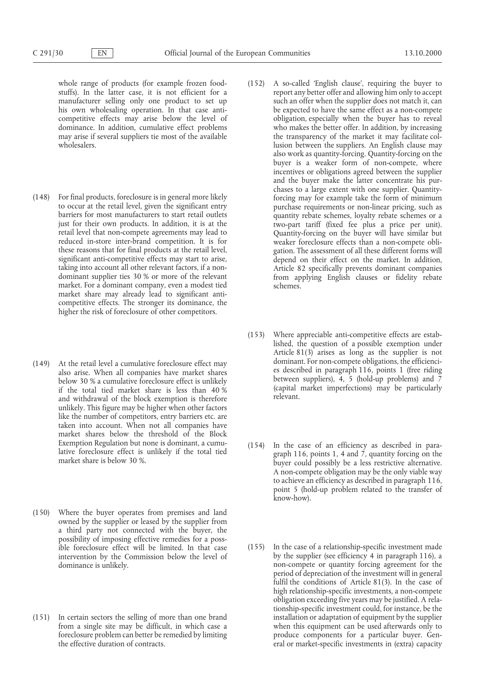- whole range of products (for example frozen food- (152) A so-called 'English clause', requiring the buyer to
- market share may already lead to significant anticompetitive effects. The stronger its dominance, the higher the risk of foreclosure of other competitors.
- and withdrawal of the block exemption is therefore unlikely. This figure may be higher when other factors like the number of competitors, entry barriers etc. are taken into account. When not all companies have market shares below the threshold of the Block
- (150) Where the buyer operates from premises and land owned by the supplier or leased by the supplier from a third party not connected with the buyer, the possibility of imposing effective remedies for a poss-
- 
- stuffs). In the latter case, it is not efficient for a report any better offer and allowing him only to accept manufacturer selling only one product to set up such an offer when the supplier does not match it, can his own wholesaling operation. In that case anti-<br>be expected to have the same effect as a non-compete competitive effects may arise below the level of obligation, especially when the buyer has to reveal dominance. In addition, cumulative effect problems who makes the better offer. In addition, by increasing may arise if several suppliers tie most of the available the transparency of the market it may facilitate col-<br>wholesalers. An English clause may holesalers. lusion between the suppliers. An English clause may also work as quantity-forcing. Quantity-forcing on the buyer is a weaker form of non-compete, where incentives or obligations agreed between the supplier and the buyer make the latter concentrate his pur-(148) For final products, foreclosure is in general more likely<br>to occur at the retail level, given the significant entry<br>to occur at the retail level, given the significant entry<br>barriers for most manufacturers to start r
- (153) Where appreciable anti-competitive effects are established, the question of a possible exemption under Article 81(3) arises as long as the supplier is not (149) At the retail level a cumulative foreclosure effect may<br>also arise. When all companies have market shares<br>below 30 % a cumulative foreclosure effect is unlikely<br>if the total tied market share is less than 40 % (capi
	- Exemption Regulation but none is dominant, a cumu-<br>lative foreclosure effect is unlikely if the total tied<br>market share is below 30 %.<br>the total tied<br>have record possibly be a less restrictive alternative. A non-compete obligation may be the only viable way to achieve an efficiency as described in paragraph 116, point 5 (hold-up problem related to the transfer of know-how).
- ible foreclosure effect will be limited. In that case (155) In the case of a relationship-specific investment made intervention by the Commission below the level of by the supplier (see efficiency 4 in paragraph 116), a dominance is unlikely. The competence of quantity forcing agreement for the dominance is unlikely. period of depreciation of the investment will in general fulfil the conditions of Article 81(3). In the case of high relationship-specific investments, a non-compete obligation exceeding five years may be justified. A relationship-specific investment could, for instance, be the (151) In certain sectors the selling of more than one brand installation or adaptation of equipment by the supplier from a single site may be difficult, in which case a when this equipment can be used afterwards only to foreclosure problem can better be remedied by limiting produce components for a particular buyer. Genthe effective duration of contracts. eral or market-specific investments in (extra) capacity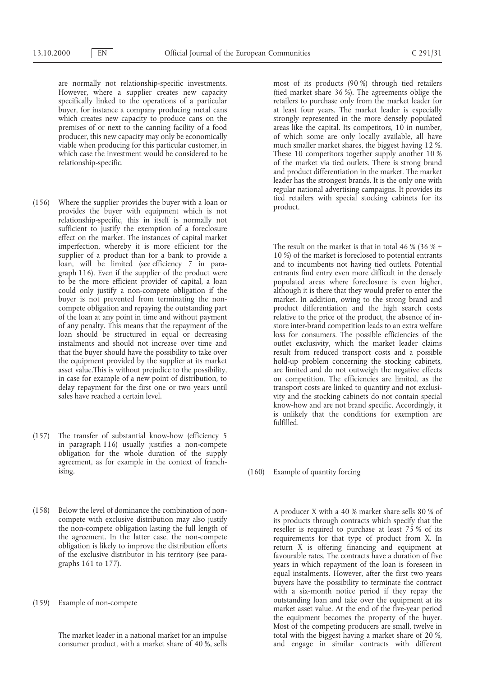are normally not relationship-specific investments. most of its products (90 %) through tied retailers However, where a supplier creates new capacity (tied market share 36 %). The agreements oblige the specifically linked to the operations of a particular retailers to purchase only from the market leader for buyer, for instance a company producing metal cans at least four years. The market leader is especially which creates new capacity to produce cans on the strongly represented in the more densely populated premises of or next to the canning facility of a food areas like the capital. Its competitors, 10 in number, producer, this new capacity may only be economically of which some are only locally available, all have viable when producing for this particular customer, in much smaller market shares, the biggest having 12 %. viable when producing for this particular customer, in which case the investment would be considered to be relationship-specific. There is strong brand

- tied retailers with special stocking cabinets for its (156) Where the supplier provides the buyer with a loan or product. provides the buyer with equipment which is not relationship-specific, this in itself is normally not sufficient to justify the exemption of a foreclosure effect on the market. The instances of capital market imperfection, whereby it is more efficient for the The result on the market is that in total 46 % (36 % + supplier of a product than for a bank to provide a 10 %) of the market is foreclosed to potential entrants loan, will be limited (see efficiency 7 in para- and to incumbents not having tied outlets. Potential graph 116). Even if the supplier of the product were entrants find entry even more difficult in the densely to be the more efficient provider of capital, a loan populated areas where foreclosure is even higher, could only justify a non-compete obligation if the although it is there that they would prefer to enter the buyer is not prevented from terminating the non- market. In addition, owing to the strong brand and compete obligation and repaying the outstanding part product differentiation and the high search costs of the loan at any point in time and without payment relative to the price of the product, the absence of inof any penalty. This means that the repayment of the store inter-brand competition leads to an extra welfare loan should be structured in equal or decreasing loss for consumers. The possible efficiencies of the instalments and should not increase over time and outlet exclusivity, which the market leader claims that the buyer should have the possibility to take over result from reduced transport costs and a possible the equipment provided by the supplier at its market hold-up problem concerning the stocking cabinets, asset value.This is without prejudice to the possibility, are limited and do not outweigh the negative effects in case for example of a new point of distribution, to on competition. The efficiencies are limited, as the delay repayment for the first one or two years until transport costs are linked to quantity and not exclusisales have reached a certain level.  $\qquad \qquad$  vity and the stocking cabinets do not contain special
- (157) The transfer of substantial know-how (efficiency 5 in paragraph 116) usually justifies a non-compete obligation for the whole duration of the supply agreement, as for example in the context of franchising. (160) Example of quantity forcing
- (158) Below the level of dominance the combination of non-<br>
compete with exclusive distribution may also justify<br>
the non-compete obligation lasting the full length of<br>
the agreement. In the latter case, the non-compete<br>
o
- 

consumer product, with a market share of 40 %, sells and engage in similar contracts with different

These 10 competitors together supply another 10 % and product differentiation in the market. The market leader has the strongest brands. It is the only one with regular national advertising campaigns. It provides its

know-how and are not brand specific. Accordingly, it is unlikely that the conditions for exemption are fulfilled.

graphs 161 to 177). years in which repayment of the loan is foreseen in equal instalments. However, after the first two years buyers have the possibility to terminate the contract with a six-month notice period if they repay the outstanding loan and take over the equipment at its (159) Example of non-compete market asset value. At the end of the five-year period the equipment becomes the property of the buyer. Most of the competing producers are small, twelve in The market leader in a national market for an impulse total with the biggest having a market share of 20 %,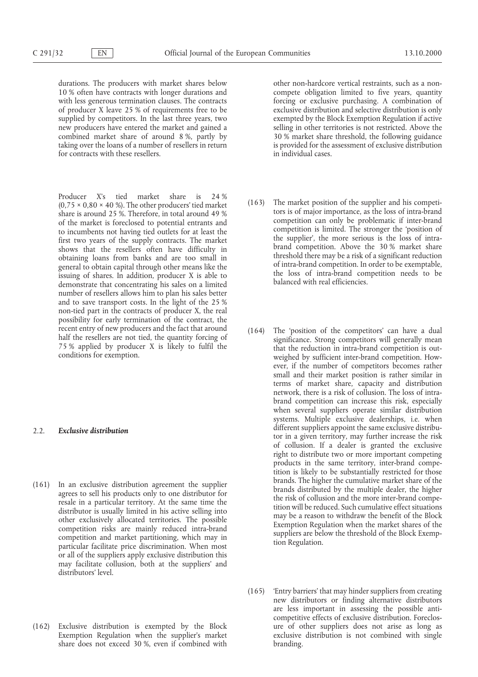durations. The producers with market shares below other non-hardcore vertical restraints, such as a nonfor contracts with these resellers.

Producer X's tied market share is 24 % number of resellers allows him to plan his sales better and to save transport costs. In the light of the 25 % non-tied part in the contracts of producer X, the real possibility for early termination of the contract, the

- (161) In an exclusive distribution agreement the supplier<br>agrees to sell his products only to one distributor for<br>resale in a particular territory. At the same time the<br>distributor is usually limited in his active selling or all of the suppliers apply exclusive distribution this may facilitate collusion, both at the suppliers' and distributors' level.
- share does not exceed 30 %, even if combined with branding.

10 % often have contracts with longer durations and compete obligation limited to five years, quantity with less generous termination clauses. The contracts forcing or exclusive purchasing. A combination of of producer X leave 25 % of requirements free to be exclusive distribution and selective distribution is only supplied by competitors. In the last three years, two exempted by the Block Exemption Regulation if active new producers have entered the market and gained a selling in other territories is not restricted. Above the combined market share of around 8 %, partly by 30 % market share threshold, the following guidance taking over the loans of a number of resellers in return is provided for the assessment of exclusive distribution is provided for the assessment of exclusive distribution<br>in individual cases.

- (0,75 × 0,80 × 40 %). The other producers' tied market (163) The market position of the supplier and his competi-<br>share is around 25 %. Therefore, in total around 49 % tors is of major importance, as the loss of intra-bran
- Free the entry of new producers and the fact that around<br>half the resellers are not tied, the quantity forcing of<br>75 % applied by producer X is likely to fulfil the<br>conditions for exemption.<br>weighed by sufficient inter-bra ever, if the number of competitors becomes rather small and their market position is rather similar in terms of market share, capacity and distribution network, there is a risk of collusion. The loss of intrabrand competition can increase this risk, especially when several suppliers operate similar distribution systems. Multiple exclusive dealerships, i.e. when 2.2. **Exclusive distribution Exclusive distribution Exclusive distribution Exclusive distribution tor in a given territory, may further increase the risk exclusive distribution** of collusion. If a dealer is granted the exclusive right to distribute two or more important competing products in the same territory, inter-brand competition is likely to be substantially restricted for those
- (165) 'Entry barriers' that may hinder suppliers from creating new distributors or finding alternative distributors are less important in assessing the possible anticompetitive effects of exclusive distribution. Foreclos- (162) Exclusive distribution is exempted by the Block ure of other suppliers does not arise as long as Exemption Regulation when the supplier's market exclusive distribution is not combined with single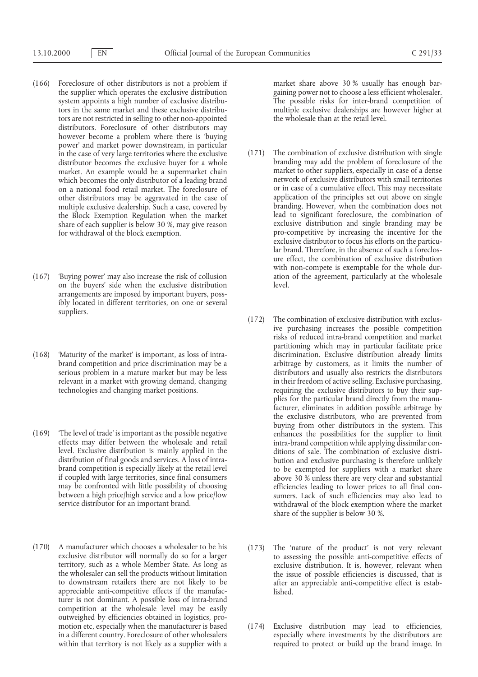- the supplier which operates the exclusive distribution gaining power not to choose a less efficient wholesaler. system appoints a high number of exclusive distribu- The possible risks for inter-brand competition of tors in the same market and these exclusive distribu- multiple exclusive dealerships are however higher at tors are not restricted in selling to other non-appointed the wholesale than at the retail level. distributors. Foreclosure of other distributors may however become a problem where there is 'buying power' and market power downstream, in particular which becomes the only distributor of a leading brand share of each supplier is below 30 %, may give reason for withdrawal of the block exemption.
- on the buyers' side when the exclusive distribution arrangements are imposed by important buyers, possibly located in different territories, on one or several suppliers.<br>
(172) The combination of exclusive distribution with exclus-
- 
- 
- turer is not dominant. A possible loss of intra-brand competition at the wholesale level may be easily outweighed by efficiencies obtained in logistics, promotion etc, especially when the manufacturer is based (174) Exclusive distribution may lead to efficiencies,

(166) Foreclosure of other distributors is not a problem if market share above 30 % usually has enough bar-

- in the case of very large territories where the exclusive (171) The combination of exclusive distribution with single distributor becomes the exclusive buver for a whole branding may add the problem of foreclosure of the distributor becomes the exclusive buyer for a whole branding may add the problem of foreclosure of the market. An example would be a supermarket chain market to other suppliers, especially in case of a dense market. An example would be a supermarket chain market to other suppliers, especially in case of a dense<br>which becomes the only distributor of a leading brand network of exclusive distributors with small territories on a national food retail market. The foreclosure of or in case of a cumulative effect. This may necessitate other distributors may be aggravated in the case of a peplication of the principles set out above on single other distributors may be aggravated in the case of application of the principles set out above on single multiple exclusive dealership. Such a case, covered by branding. However, when the combination does not multiple exclusive dealership. Such a case, covered by branding. However, when the combination does not the Block Exemption Regulation when the market lead to significant foreclosure, the combination of the Block Exemption Regulation when the market lead to significant foreclosure, the combination of share of each supplier is below 30 %, may give reason exclusive distribution and single branding may be pro-competitive by increasing the incentive for the exclusive distributor to focus his efforts on the particular brand. Therefore, in the absence of such a foreclosure effect, the combination of exclusive distribution with non-compete is exemptable for the whole dur- (167) 'Buying power' may also increase the risk of collusion ation of the agreement, particularly at the wholesale
- ive purchasing increases the possible competition risks of reduced intra-brand competition and market partitioning which may in particular facilitate price (168) 'Maturity of the market' is important, as loss of intra- discrimination. Exclusive distribution already limits brand competition and price discrimination may be a arbitrage by customers, as it limits the number of serious problem in a mature market but may be less distributors and usually also restricts the distributors relevant in a market with growing demand, changing in their freedom of active selling. Exclusive purchasing, technologies and changing market positions. requiring the exclusive distributors to buy their supplies for the particular brand directly from the manufacturer, eliminates in addition possible arbitrage by the exclusive distributors, who are prevented from (169) 'The level of trade' is important as the possible negative buying from other distributors in the system. This enhances the possibilities for the supplier to limit effects may differ between the wholesale and retail i effects may differ between the wholesale and retail intra-brand competition while applying dissimilar con-<br>level. Exclusive distribution is mainly applied in the ditions of sale. The combination of exclusive distridistribution of final goods and services. A loss of intra-<br>bution and exclusive purchasing is therefore unlikely<br>brand competition is especially likely at the retail level<br>to be exempted for suppliers with a market share brand competition is especially likely at the retail level to be exempted for suppliers with a market share<br>if coupled with large territories, since final consumers above 30 % unless there are very clear and substantial<br>ma service distributor for an important brand.  $\blacksquare$  withdrawal of the block exemption where the market share of the supplier is below 30 %.
- (170) A manufacturer which chooses a wholesaler to be his exclusive distributor will normally do so for a larger exclusive distributor will normally do so for a larger to assessing the possible anti-competitive effects of the wholesaler can sell the products without limitation<br>to downstream retailers there are not likely to be<br>appreciable anti-competitive effects if the manufac-<br>lished.
	- in a different country. Foreclosure of other wholesalers especially where investments by the distributors are within that territory is not likely as a supplier with a required to protect or build up the brand image. In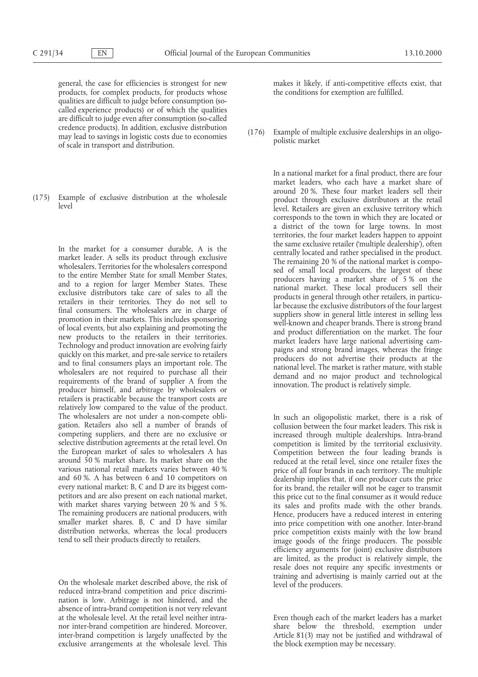general, the case for efficiencies is strongest for new makes it likely, if anti-competitive effects exist, that products, for complex products, for products whose the conditions for exemption are fulfilled. qualities are difficult to judge before consumption (socalled experience products) or of which the qualities are difficult to judge even after consumption (so-called credence products). In addition, exclusive distribution<br>may lead to savings in logistic costs due to economies<br>of scale in transport and distribution.<br>politic market

In the market for a consumer durable, A is the the same exclusive retailer (multiple dealership), often<br>market leader. A sells its product through exclusive<br>wholesalers correspond<br>to the entire Members State for small Memb retailers is practicable because the transport costs are relatively low compared to the value of the product. The wholesalers are not under a non-compete obli-<br>
In such an oligopolistic market, there is a risk of<br>
collusion between the four market leaders. This risk is<br>
competing suppliers, and there are no exclusive or<br>  $\frac{1}{2}$ competing suppliers, and there are no exclusive or<br>selective distribution agreements at the retail level. On<br>the European market of sales to wholesalers A has<br>around 50 % market share. Its market share on the<br>various natio various national retail markets varies between 40 %<br>
and 60 %. A has between 6 and 10 competitors on<br>
every national market: B, C and D are its biggest com-<br>
petitors and are also present on each national market,<br>
with mar

On the wholesale market described above, the risk of level of the producers.<br>
reduced intra-brand competition and price discrimination is low. Arbitrage is not hindered, and the absence of intra-brand competition is not very relevant at the wholesale level. At the retail level neither intra- Even though each of the market leaders has a market nor inter-brand competition are hindered. Moreover, share below the threshold, exemption under inter-brand competition is largely unaffected by the Article 81(3) may not be justified and withdrawal of exclusive arrangements at the wholesale level. This the block exemption may be necessary.

In a national market for a final product, there are four market leaders, who each have a market share of around 20 %. These four market leaders sell their (175) Example of exclusive distribution at the wholesale product through exclusive distributors at the retail level level and exclusive territory which level and exclusive territory which corresponds to the town in which they are located or a district of the town for large towns. In most territories, the four market leaders happen to appoint

> efficiency arguments for (joint) exclusive distributors are limited, as the product is relatively simple, the resale does not require any specific investments or training and advertising is mainly carried out at the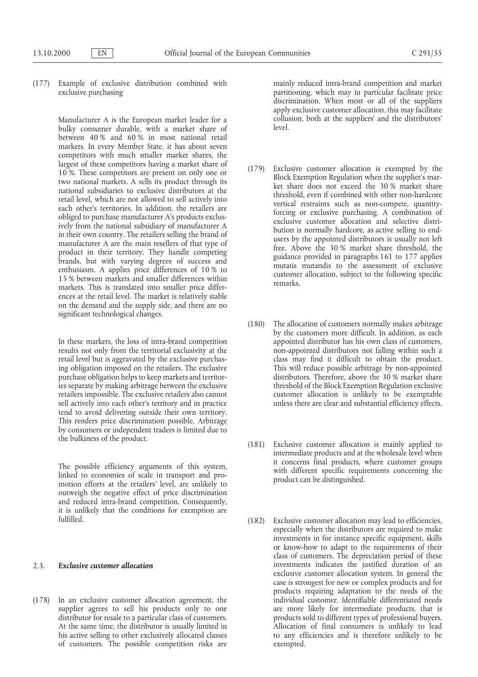(177) Example of exclusive distribution combined with mainly reduced intra-brand competition and market exclusive purchasing **partitioning**, which may in particular facilitate price

bulky consumer durable, with a market share of between 40 % and 60 % in most national retail markets. In every Member State, it has about seven competitors with much smaller market shares, the ences at the retail level. The market is relatively stable on the demand and the supply side, and there are no significant technological changes.

tend to avoid delivering outside their own territory. This renders price discrimination possible. Arbitrage by consumers or independent traders is limited due to

outweigh the negative effect of price discrimination and reduced intra-brand competition. Consequently, it is unlikely that the conditions for exemption are fulfilled.

of customers. The possible competition risks are exempted.

discrimination. When most or all of the suppliers apply exclusive customer allocation, this may facilitate Manufacturer A is the European market leader for a collusion, both at the suppliers' and the distributors' bulky consumer durable with a market share of level.

- largest of these competitors having a market share of<br>
10 %. These competitors are present on only one or<br>
10 %. These competitions are present on only one or<br>
two national markets. A sells its product through its<br>
are two
- (180) The allocation of customers normally makes arbitrage by the customers more difficult. In addition, as each In these markets, the loss of intra-brand competition appointed distributor has his own class of customers, results not only from the territorial exclusivity at the non-appointed distributors not falling within such a non-appointed distributors not falling within such a retail level but is aggravated by the exclusive purchas-<br>
ing obligation imposed on the retailers. The exclusive This will reduce possible arbitrage by non-appointed This will reduce possible arbitrage by non-appointed purchase obligation helps to keep markets and territor- distributors. Therefore, above the 30 % market share ies separate by making arbitrage between the exclusive threshold of the Block Exemption Regulation exclusive retailers impossible. The exclusive retailers also cannot customer allocation is unlikely to be exemptable sell actively into each other's territory and in practice unless there are clear and substantial efficiency effects.
- the bulkiness of the product. (181) Exclusive customer allocation is mainly applied to intermediate products and at the wholesale level when The possible efficiency arguments of this system,<br>
it concerns final products, where customer groups<br>
inked to economies of scale in transport and pro-<br>
motion efforts at the retailers' level, are unlikely to<br>
product can
- $(182)$  Exclusive customer allocation may lead to efficiencies, especially when the distributors are required to make investments in for instance specific equipment, skills or know-how to adapt to the requirements of their class of customers. The depreciation period of these 2.3. *Exclusive customer allocation* investments indicates the justified duration of an exclusive customer allocation system. In general the case is strongest for new or complex products and for products requiring adaptation to the needs of the (178) In an exclusive customer allocation agreement, the individual customer. Identifiable differentiated needs supplier agrees to sell his products only to one are more likely for intermediate products, that is distributor for resale to a particular class of customers. products sold to different types of professional buyers. At the same time, the distributor is usually limited in Allocation of final consumers is unlikely to lead his active selling to other exclusively allocated classes to any efficiencies and is therefore unlikely to be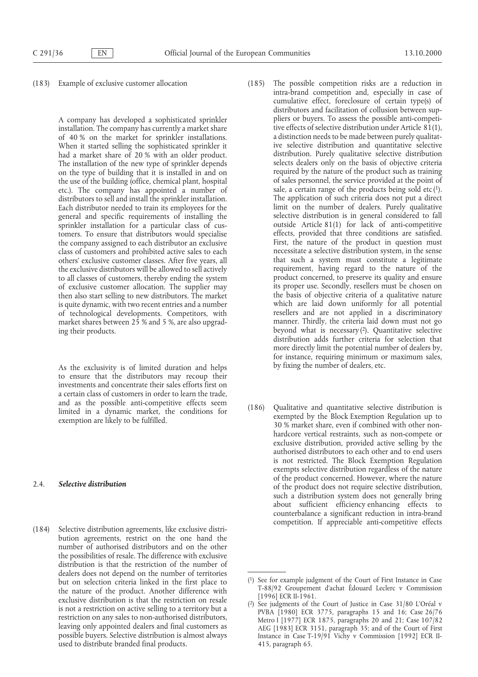(183) Example of exclusive customer allocation (185) The possible competition risks are a reduction in

distributors to sell and install the sprinkler installation. tomers. To ensure that distributors would specialise class of customers and prohibited active sales to each is quite dynamic, with two recent entries and a number market shares between 25 % and 5 %, are also upgrad-

As the exclusivity is of limited duration and helps by fixing the number of dealers, etc. to ensure that the distributors may recoup their investments and concentrate their sales efforts first on a certain class of customers in order to learn the trade,

bution agreements, restrict on the one hand the number of authorised distributors and on the other the possibilities of resale. The difference with exclusive distribution is that the restriction of the number of dealers does not depend on the number of territories<br>but on selection criteria linked in the first place to<br>the nature of the product. Another difference with<br>exclusive distribution is that the restriction on resale<br>is not used to distribute branded final products. 415, paragraph 65.

- intra-brand competition and, especially in case of cumulative effect, foreclosure of certain type(s) of distributors and facilitation of collusion between sup-A company has developed a sophisticated sprinkler pliers or buyers. To assess the possible anti-competiinstallation. The company has currently a market share tive effects of selective distribution under Article 81(1), of 40 % on the market for sprinkler installations. a distinction needs to be made between purely qualitat-When it started selling the sophisticated sprinkler it ive selective distribution and quantitative selective had a market share of 20 % with an older product. had a market share of 20 % with an older product. distribution. Purely qualitative selective distribution The installation of the new type of sprinkler depends selects dealers only on the basis of objective criteria The installation of the new type of sprinkler depends selects dealers only on the basis of objective criteria<br>on the type of building that it is installed in and on required by the nature of the product such as training on the type of building that it is installed in and on required by the nature of the product such as training<br>the use of the building (office, chemical plant, hospital of sales personnel, the service provided at the point the use of the building (office, chemical plant, hospital of sales personnel, the service provided at the point of etc.). The company has appointed a number of sale, a certain range of the products being sold etc (1). etc.). The company has appointed a number of sale, a certain range of the products being sold etc (1).<br>distributors to sell and install the sprinkler installation. The application of such criteria does not put a direct Each distributor needed to train its employees for the limit on the number of dealers. Purely qualitative general and specific requirements of installing the selective distribution is in general considered to fall general and specific requirements of installing the selective distribution is in general considered to fall<br>sprinkler installation for a particular class of cus-<br>outside Article 81(1) for lack of anti-competitive sprinkler installation for a particular class of cus-<br>tomers. To ensure that distributors would specialise effects, provided that three conditions are satisfied. the company assigned to each distributor an exclusive First, the nature of the product in question must class of customers and prohibited active sales to each necessitate a selective distribution system, in the sense others' exclusive customer classes. After five years, all that such a system must constitute a legitimate the exclusive distributors will be allowed to sell actively requirement, having regard to the nature of the the exclusive distributors will be allowed to sell actively requirement, having regard to the nature of the to all classes of customers, thereby ending the system product concerned, to preserve its quality and ensure to all classes of customers, thereby ending the system product concerned, to preserve its quality and ensure of exclusive customer allocation. The supplier may its proper use. Secondly, resellers must be chosen on of exclusive customer allocation. The supplier may its proper use. Secondly, resellers must be chosen on then also start selling to new distributors. The market the basis of objective criteria of a qualitative nature then also start selling to new distributors. The market the basis of objective criteria of a qualitative nature<br>is quite dynamic, with two recent entries and a number which are laid down uniformly for all potential of technological developments. Competitors, with resellers and are not applied in a discriminatory<br>market shares between 25 % and 5 % are also upprad-<br>manner. Thirdly, the criteria laid down must not go  $\frac{1}{2}$  is their products.  $\frac{1}{2}$  beyond what is necessary (2). Quantitative selective distribution adds further criteria for selection that more directly limit the potential number of dealers by, for instance, requiring minimum or maximum sales,
- and as the possible and completive eneces seem<br>limited in a dynamic market, the conditions for<br>exempted by the Block Exemption Regulation up to<br>30 % market share, even if combined with other nonhardcore vertical restraints, such as non-compete or exclusive distribution, provided active selling by the authorised distributors to each other and to end users is not restricted. The Block Exemption Regulation exempts selective distribution regardless of the nature 2.4. **Selective distribution Selective distribution of the product concerned. However, where the nature of the product does not require selective distribution,** such a distribution system does not generally bring about sufficient efficiency enhancing effects to counterbalance a significant reduction in intra-brand competition. If appreciable anti-competitive effects (184) Selective distribution agreements, like exclusive distri-

leaving only appointed dealers and final customers as The AEG [1983] ECR 3151, paragraph 35; and of the Court of First possible buyers. Selective distribution is almost always Instance in Case T-19/91 Vichy v Commission [1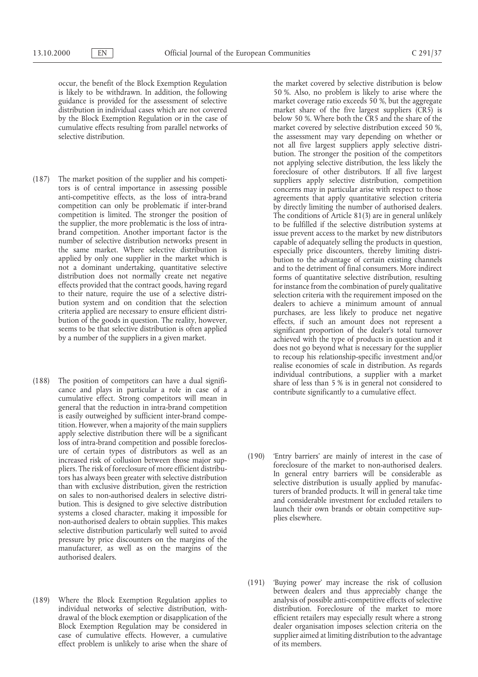is likely to be withdrawn. In addition, the following 50 %. Also, no problem is likely to arise where the guidance is provided for the assessment of selective market coverage ratio exceeds 50 %, but the aggregate distribution in individual cases which are not covered market share of the five largest suppliers (CR5) is by the Block Exemption Regulation or in the case of below 50 %. Where both the CR5 and the share of the cumulative effects resulting from parallel networks of market covered by selective distribution exceed 50 %, selective distribution. The assessment may vary depending on whether or

- (187) The market position of the supplier and his competi-<br>tors is of central importance in assessing possible<br>anti-competitive effects, as the loss of intra-brand<br>competition can only be problematic if inter-brand<br>competi
- (188) The position of competitors can have a dual signifi-<br>cance and plays in particular a role in case of a<br>cumulative effect. Strong competitors will mean in general that the reduction in intra-brand competition is easily outweighed by sufficient inter-brand competition. However, when a majority of the main suppliers apply selective distribution there will be a significant loss of intra-brand competition and possible foreclosselective distribution particularly well suited to avoid pressure by price discounters on the margins of the manufacturer, as well as on the margins of the authorised dealers.
- effect problem is unlikely to arise when the share of of its members.

occur, the benefit of the Block Exemption Regulation the market covered by selective distribution is below not all five largest suppliers apply selective distribution. The stronger the position of the competitors not applying selective distribution, the less likely the distribution does not normally create net negative<br>
effects provided that the contract goods, having regard<br>
to their nature, require the use of a selective distri-<br>
bution system and on condition that the selection<br>
crite criteria applied are necessary to ensure efficient distri-<br>bution of the goods in question. The reality, however,<br>seems to be that selective distribution is often applied<br>by a number of the suppliers in a given market.<br>by does not go beyond what is necessary for the supplier to recoup his relationship-specific investment and/or realise economies of scale in distribution. As regards

- ure of certain types of distributors as well as an<br>increased risk of collusion between those major sup-<br>pliers. The risk of foreclosure of more efficient distribu-<br>tors has always been greater with selective distribution<br>t
- (191) 'Buying power' may increase the risk of collusion between dealers and thus appreciably change the (189) Where the Block Exemption Regulation applies to analysis of possible anti-competitive effects of selective individual networks of selective distribution, with- distribution. Foreclosure of the market to more drawal of the block exemption or disapplication of the efficient retailers may especially result where a strong Block Exemption Regulation may be considered in dealer organisation imposes selection criteria on the case of cumulative effects. However, a cumulative supplier aimed at limiting distribution to the advantage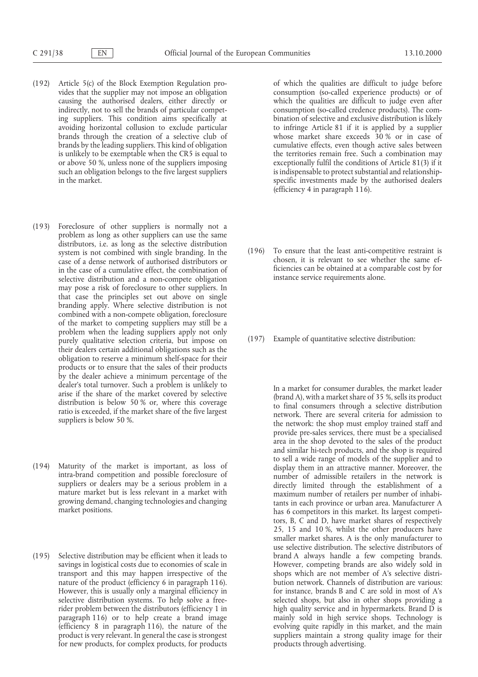- (192) Article 5(c) of the Block Exemption Regulation pro- of which the qualities are difficult to judge before vides that the supplier may not impose an obligation consumption (so-called experience products) or of causing the authorised dealers, either directly or which the qualities are difficult to judge even after indirectly, not to sell the brands of particular compet- consumption (so-called credence products). The coming suppliers. This condition aims specifically at bination of selective and exclusive distribution is likely avoiding horizontal collusion to exclude particular to infringe Article 81 if it is applied by a supplier brands through the creation of a selective club of whose market share exceeds  $\overline{30}$  % or in case of brands by the leading suppliers. This kind of obligation cumulative effects, even though active sales between brands by the leading suppliers. This kind of obligation cumulative effects, even though active sales between is unlikely to be exemptable when the CR5 is equal to the territories remain free. Such a combination may is unlikely to be exemptable when the CR5 is equal to the territories remain free. Such a combination may or above 50 %, unless none of the suppliers imposing exceptionally fulfil the conditions of Article 81(3) if it or above 50 %, unless none of the suppliers imposing such an obligation belongs to the five largest suppliers such an obligation belongs to the five largest suppliers is indispensable to protect substantial and relationship-<br>specific investments made by the authorised dealers
- (193) Foreclosure of other suppliers is normally not a problem as long as other suppliers can use the same distributors, i.e. as long as the selective distribution may pose a risk of foreclosure to other suppliers. In that case the principles set out above on single branding apply. Where selective distribution is not combined with a non-compete obligation, foreclosure of the market to competing suppliers may still be a problem when the leading suppliers apply not only purely qualitative selection criteria, but impose on (197) Example of quantitative selective distribution: their dealers certain additional obligations such as the obligation to reserve a minimum shelf-space for their products or to ensure that the sales of their products by the dealer achieve a minimum percentage of the
- 
- transport and this may happen irrespective of the shops which are not member of A's selective distrifor new products, for complex products, for products products through advertising.

specific investments made by the authorised dealers (efficiency 4 in paragraph 116).

- system is not combined with single branding. In the (196) To ensure that the least anti-competitive restraint is case of a dense network of authorised distributors or in the case of a cumulative effect, the combination of ficiencies can be obtained at a comparable cost by for selective distribution and a non-compete obligation instance service requirements alone.
	-

dealer's total turnover. Such a problem is unlikely to<br>arise if the share of the market covered by selective<br>distribution is below 50 % or, where this coverage<br>ratio is exceeded, if the market share of the five largest<br>sup provide pre-sales services, there must be a specialised area in the shop devoted to the sales of the product and similar hi-tech products, and the shop is required (194) Maturity of the market is important, as loss of the supplier and to display them in an attractive manner. Moreover, the intra-brand competition and possible foreclosure of suppliers or dealers may be a serious proble suppliers or dealers may be a serious problem in a<br>mature market but is less relevant in a market with<br>growing demand, changing technologies and changing<br>market positions.<br>market positions.<br>has 6 competitors in this market tors, B, C and D, have market shares of respectively 25, 15 and 10 %, whilst the other producers have smaller market shares. A is the only manufacturer to use selective distribution. The selective distributors of (195) Selective distribution may be efficient when it leads to brand A always handle a few competing brands. savings in logistical costs due to economies of scale in However, competing brands are also widely sold in nature of the product (efficiency 6 in paragraph 116). bution network. Channels of distribution are various: However, this is usually only a marginal efficiency in for instance, brands B and C are sold in most of A's selective distribution systems. To help solve a free-<br>selected shops, but also in other shops providing a rider problem between the distributors (efficiency 1 in high quality service and in hypermarkets. Brand D is paragraph 116) or to help create a brand image mainly sold in high service shops. Technology is (efficiency 8 in paragraph 116), the nature of the evolving quite rapidly in this market, and the main product is very relevant. In general the case is strongest suppliers maintain a strong quality image for their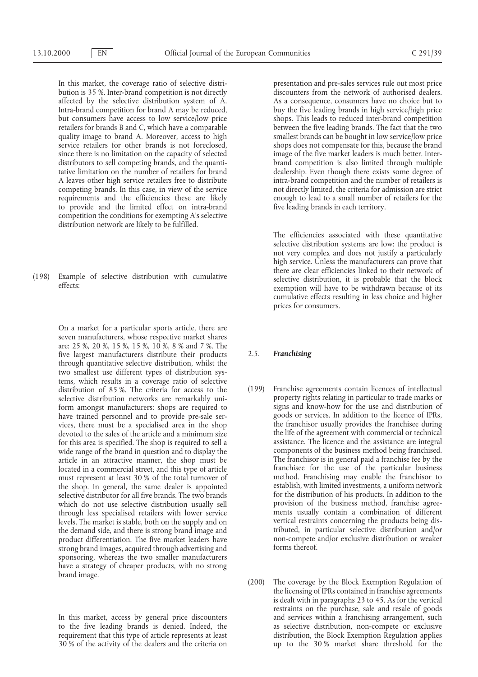bution is 35 %. Inter-brand competition is not directly discounters from the network of authorised dealers. affected by the selective distribution system of A. As a consequence, consumers have no choice but to Intra-brand competition for brand A may be reduced, buy the five leading brands in high service/high price but consumers have access to low service/low price shops. This leads to reduced inter-brand competition retailers for brands B and C, which have a comparable between the five leading brands. The fact that the two quality image to brand A. Moreover, access to high smallest brands can be bought in low service/low price<br>service retailers for other brands is not foreclosed, shops does not compensate for this, because the brand service retailers for other brands is not foreclosed, since there is no limitation on the capacity of selected since there is no limitation on the capacity of selected image of the five market leaders is much better. Inter-<br>distributors to sell competing brands, and the quanti-<br>brand competition is also limited through multiple tative limitation on the number of retailers for brand dealership. Even though there exists some degree of A leaves other high service retailers free to distribute and the number of retailers is A leaves other high service retailers free to distribute competing brands. In this case, in view of the service not directly limited, the criteria for admission are strict requirements and the efficiencies these are likely enough to lead to a small number of retailers for the to provide and the limited effect on intra-brand five leading brands in each territory. competition the conditions for exempting A's selective distribution network are likely to be fulfilled.

On a market for a particular sports article, there are seven manufacturers, whose respective market shares are: 25 %, 20 %, 15 %, 15 %, 10 %, 8 % and 7 %. The five largest manufacturers distribute their products 2.5. *Franchising* through quantitative selective distribution, whilst the two smallest use different types of distribution systems, which results in a coverage ratio of selective wide range of the brand in question and to display the located in a commercial street, and this type of article the demand side, and there is strong brand image and strong brand images, acquired through advertising and sponsoring, whereas the two smaller manufacturers have a strategy of cheaper products, with no strong brand image. (200) The coverage by the Block Exemption Regulation of

In this market, the coverage ratio of selective distri- presentation and pre-sales services rule out most price brand competition is also limited through multiple

The efficiencies associated with these quantitative selective distribution systems are low: the product is not very complex and does not justify a particularly high service. Unless the manufacturers can prove that (198) Example of selective distribution with cumulative there are clear efficiencies linked to their network of selective distribution, it is probable that the block effects: cumulative effects resulting in less choice and higher prices for consumers.

- distribution of 85%. The criteria for access to the (199) Franchise agreements contain licences of intellectual selective distribution networks are remarkably uni-<br>property rights relating in particular to trade marks or selective distribution networks are remarkably uni-<br>form amongst manufacturers: shops are required to signs and know-how for the use and distribution of form amongst manufacturers: shops are required to signs and know-how for the use and distribution of have trained personnel and to provide pre-sale ser-<br>goods or services. In addition to the licence of IPRs, have trained personnel and to provide pre-sale ser-<br>vices in addition to the licence of IPRs,<br>the franchisor usually provides the franchisee during<br>the franchisor usually provides the franchisee during vices, there must be a specialised area in the shop the franchisor usually provides the franchisee during<br>devoted to the sales of the article and a minimum size the life of the agreement with commercial or technical devoted to the sales of the article and a minimum size the life of the agreement with commercial or technical<br>for this area is specified. The shop is required to sell a sassistance. The licence and the assistance are integ for this area is specified. The shop is required to sell a assistance. The licence and the assistance are integral wide range of the brand in question and to display the components of the business method being franchised. article in an attractive manner, the shop must be The franchisor is in general paid a franchise fee by the located in a commercial street, and this type of article franchise for the use of the particular business must represent at least 30 % of the total turnover of method. Franchising may enable the franchisor to the shop. In general, the same dealer is appointed establish, with limited investments, a uniform network the shop. In general, the same dealer is appointed establish, with limited investments, a uniform network selective distribution for all five brands. The two brands for the distribution of his products. In addition to the selective distributor for all five brands. The two brands for the distribution of his products. In addition to the which do not use selective distribution usually sell provision of the business method, franchise agreewhich do not use selective distribution usually sell provision of the business method, franchise agree-<br>through less specialised retailers with lower service ments usually contain a combination of different through less specialised retailers with lower service ments usually contain a combination of different levels. The market is stable, both on the supply and on levels. The market is stable, both on the supply and on vertical restraints concerning the products being disproduct differentiation. The five market leaders have non-compete and/or exclusive distribution or weaker<br>strong brand images acquired through advertising and forms thereof.
- the licensing of IPRs contained in franchise agreements is dealt with in paragraphs 23 to 45. As for the vertical restraints on the purchase, sale and resale of goods In this market, access by general price discounters and services within a franchising arrangement, such to the five leading brands is denied. Indeed, the as selective distribution, non-compete or exclusive requirement that this type of article represents at least distribution, the Block Exemption Regulation applies 30 % of the activity of the dealers and the criteria on up to the 30 % market share threshold for the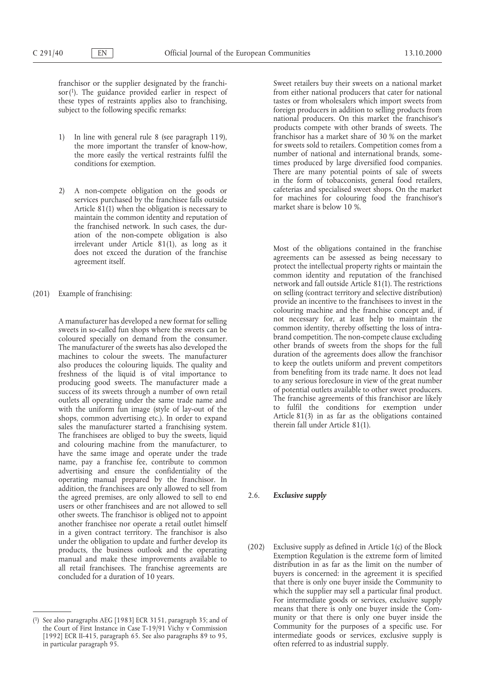franchisor or the supplier designated by the franchi- Sweet retailers buy their sweets on a national market

- the more easily the vertical restraints fulfil the
- Article  $81(1)$  when the obligation is necessary to maintain the common identity and reputation of the franchised network. In such cases, the duration of the non-compete obligation is also irrelevant under Article 81(1), as long as it
- 

shops, common advertising etc.). In order to expand  $\frac{\text{Article } 81(3)}{\text{After } 81(1)}$  has far as the sales the manufacturer started a franchising system. sales the manufacturer started a franchising system. The franchisees are obliged to buy the sweets, liquid and colouring machine from the manufacturer, to have the same image and operate under the trade name, pay a franchise fee, contribute to common advertising and ensure the confidentiality of the operating manual prepared by the franchisor. In addition, the franchisees are only allowed to sell from the agreed premises, are only allowed to sell to end 2.6. *Exclusive supply* users or other franchisees and are not allowed to sell other sweets. The franchisor is obliged not to appoint another franchisee nor operate a retail outlet himself in a given contract territory. The franchisor is also under the obligation to update and further develop its (202) Exclusive supply as defined in Article 1(c) of the Block products, the business outlook and the operating

sor  $\binom{1}{1}$ . The guidance provided earlier in respect of from either national producers that cater for national these types of restraints applies also to franchising, tastes or from wholesalers which import sweets from subject to the following specific remarks: foreign producers in addition to selling products from national producers. On this market the franchisor's products compete with other brands of sweets. The 1) In line with general rule 8 (see paragraph 119), franchisor has a market share of 30 % on the market the more important the transfer of know-how,<br>the more easily the vertical restraints fulfil the number of national and international brands, someconditions for exemption. times produced by large diversified food companies. There are many potential points of sale of sweets in the form of tobacconists, general food retailers, 2) A non-compete obligation on the goods or cafeterias and specialised sweet shops. On the market services purchased by the franchise falls outside for machines for colouring food the franchisor's<br>Article 81(1) when the obligation is necessary to market share is below 10 %.

does not exceed the duration of the franchise<br>agreements can be assessed as being necessary to<br>protect the intellectual property rights or maintain the common identity and reputation of the franchised network and fall outside Article 81(1). The restrictions (201) Example of franchising: on selling (contract territory and selective distribution) provide an incentive to the franchisees to invest in the colouring machine and the franchise concept and, if A manufacturer has developed a new format for selling not necessary for, at least help to maintain the sweets in so-called fun shops where the sweets can be common identity, thereby offsetting the loss of intrasweets in so-called fun shops where the sweets can be common identity, thereby offsetting the loss of intra-<br>coloured specially on demand from the consumer.<br>The manufacturer of the sweets has also developed the other brand The manufacturer of the sweets has also developed the other brands of sweets from the shops for the full machines to colour the sweets. The manufacturer duration of the agreements does allow the franchisor machines to colour the sweets. The manufacturer duration of the agreements does allow the franchisor<br>also produces the colouring liquids. The quality and to keep the outlets uniform and prevent competitors also produces the colouring liquids. The quality and the veep the outlets uniform and prevent competitors freshness of the liquid is of vital importance to from benefiting from its trade name. It does not lead freshness of the liquid is of vital importance to from benefiting from its trade name. It does not lead<br>to any serious foreclosure in view of the great number producing good sweets. The manufacturer made a to any serious foreclosure in view of the great number<br>success of its sweets through a number of own retail of potential outlets available to other sweet producers. success of its sweets through a number of own retail outlets available to other sweet producers.<br>
outlets all operating under the same trade name and The franchise agreements of this franchisor are likely outlets all operating under the same trade name and The franchise agreements of this franchisor are likely with the uniform fun image (style of lay-out of the to fulfil the conditions for exemption under shops, common advertising etc.). In order to expand Article 81(3) in as far as the obligations contained

manual and make these improvements available to Exemption Regulation is the extreme form of limited<br>
manual and make these improvements available to<br>
elistribution in as far as the limit on the number of all retail franchisees. The franchise agreements are<br>concluded for a duration of 10 years.<br>that there is only one buyer inside the Community to which the supplier may sell a particular final product. For intermediate goods or services, exclusive supply means that there is only one buyer inside the Com-(1) See also paragraphs AEG [1983] ECR 3151, paragraph 35; and of munity or that there is only one buyer inside the Court of First Instance in Case T-19/91 Vichy v Commission [1992] ECR II-415, paragraph 65. See also parag

<sup>[1992]</sup> ECR II-415, paragraph 65. See also paragraphs 89 to 95, in particular paragraph 95.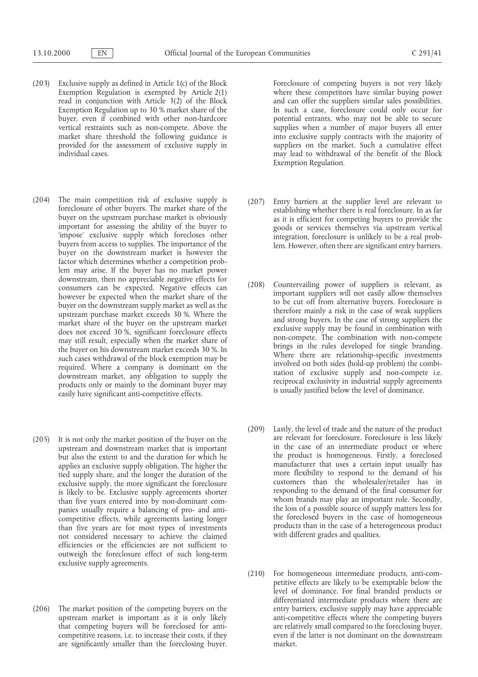- (203) Exclusive supply as defined in Article 1(c) of the Block Foreclosure of competing buyers is not very likely Exemption Regulation is exempted by Article 2(1) where these competitors have similar buying power read in conjunction with Article 3(2) of the Block and can offer the suppliers similar sales possibilities. Exemption Regulation up to 30 % market share of the In such a case, foreclosure could only occur for buyer, even if combined with other non-hardcore potential entrants, who may not be able to secure vertical restraints such as non-compete. Above the supplies when a number of major buyers all enter market share threshold the following guidance is into exclusive supply contracts with the majority of provided for the assessment of exclusive supply in suppliers on the market. Such a cumulative effect provided for the assessment of exclusive supply in suppliers on the market. Such a cumulative effect individual cases.<br>
may lead to withdrawal of the benefit of the Block
- (204) The main competition risk of exclusive supply is (207) Entry barriers at the supplier level are relevant to foreclosure of other buyers. The market share of the buyer on the upstream purchase market is obviously impo factor which determines whether a competition problem may arise. If the buyer has no market power
- not considered necessary to achieve the claimed efficiencies or the efficiencies are not sufficient to outweigh the foreclosure effect of such long-term exclusive supply agreements.
- competitive reasons, i.e. to increase their costs, if they are significantly smaller than the foreclosing buyer. market.

may lead to withdrawal of the benefit of the Block Exemption Regulation.

- 
- downstream, then no appreciable negative effects for<br>consumers can be expected. Negative effects for<br>consumers can be expected when the market share of the<br>buyer on the downstream supply market as well as the<br>upstream purc
- (209) Lastly, the level of trade and the nature of the product (205) It is not only the market position of the buyer on the are relevant for foreclosure. Foreclosure is less likely<br>in the case of an intermediate product or where upstream and downstream market that is important in the case of an intermediate product or where<br>  $\frac{1}{10}$  but also the extent to and the duration for which he but also the extent to and the duration for which he the product is homogeneous. Firstly, a foreclosed applies an exclusive supply obligation. The higher the manufacturer that uses a certain input usually has applies an exclusive supply obligation. The higher the manufacturer that uses a certain input usually has tied supply share, and the longer the duration of the more flexibility to respond to the demand of his exclusive sup exclusive supply, the more significant the foreclosure customers than the wholesaler/retailer has in<br>is likely to be Exclusive supply agreements shorter responding to the demand of the final consumer for is likely to be. Exclusive supply agreements shorter than five years entered into by non-dominant com-<br>the whom brands may play an important role. Secondly,<br>nanies usually require a balancing of pro- and anti-<br>the loss of panies usually require a balancing of pro- and anti-<br>
competitive effects while agreements lasting longer<br>
the foreclosed buyers in the case of homogeneous the foreclosed buyers in the case of homogeneous<br>than five years are for most types of investments<br>not considered necessary to achieve the claimed<br>with different grades and qualities.
- (210) For homogeneous intermediate products, anti-competitive effects are likely to be exemptable below the level of dominance. For final branded products or differentiated intermediate products where there are (206) The market position of the competing buyers on the entry barriers, exclusive supply may have appreciable upstream market is important as it is only likely anti-competitive effects where the competing buyers that competing buyers will be foreclosed for anti-<br>
competitive reasons, i.e. to increase their costs, if they<br>
even if the latter is not dominant on the downstream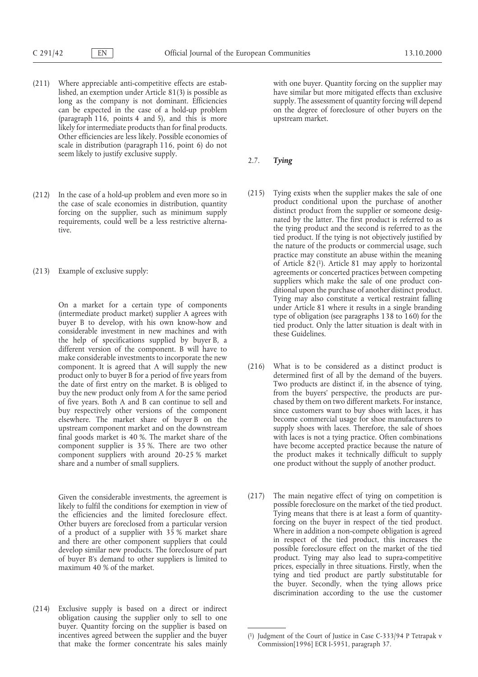- (211) Where appreciable anti-competitive effects are estab- with one buyer. Quantity forcing on the supplier may (paragraph 116, points 4 and 5), and this is more upstream market. likely for intermediate products than for final products. Other efficiencies are less likely. Possible economies of scale in distribution (paragraph 116, point 6) do not seem likely to justify exclusive supply. 2.7. *Tying*
- 
- 

different version of the component. B will have to make considerable investments to incorporate the new of five years. Both A and B can continue to sell and upstream component market and on the downstream component suppliers with around 20-25 % market

of a product of a supplier with  $35%$  market share develop similar new products. The foreclosure of part

(214) Exclusive supply is based on a direct or indirect obligation causing the supplier only to sell to one buyer. Quantity forcing on the supplier is based on that make the former concentrate his sales mainly

lished, an exemption under Article 81(3) is possible as have similar but more mitigated effects than exclusive long as the company is not dominant. Efficiencies supply. The assessment of quantity forcing will depend can be expected in the case of a hold-up problem on the degree of foreclosure of other buyers on the

- (212) In the case of a hold-up problem and even more so in the supplier makes the sale of one<br>the case of scale economies in distribution, quantity<br>forcing on the supplier, such as minimum supply<br>requirements, could well b tied product. If the tying is not objectively justified by the nature of the products or commercial usage, such practice may constitute an abuse within the meaning of Article 82 (1). Article 81 may apply to horizontal (213) Example of exclusive supply: agreements or concerted practices between competing suppliers which make the sale of one product conditional upon the purchase of another distinct product. On a market for a certain type of components<br>(intermediate product market) supplier A agrees with<br>buyer B to develop, with his own know-how and<br>considerable investment in new machines and with<br>the help of specifications su
	- component. It is agreed that A will supply the new (216) What is to be considered as a distinct product is product only to buyer B for a period of five years from determined first of all by the demand of the buyers. product only to buyer B for a period of five years from determined first of all by the demand of the buyers.<br>the date of first entry on the market. B is obliged to Two products are distinct if, in the absence of tying, the date of first entry on the market. B is obliged to Two products are distinct if, in the absence of tying, buy the new product only from A for the same period from the buyers' perspective, the products are purbuy the new product only from A for the same period from the buyers' perspective, the products are pur-<br>of five years. Both A and B can continue to sell and chased by them on two different markets. For instance, buy respectively other versions of the component since customers want to buy shoes with laces, it has elsewhere. The market share of buyer B on the become commercial usage for shoe manufacturers to upstream component market and on the downstream supply shoes with laces. Therefore, the sale of shoes final goods market is 40 %. The market share of the with laces is not a tying practice. Often combinations component supplier is 35 %. There are two other have become accepted practice because the nature of component suppliers with around 20-25 % market the product makes it technically difficult to supply share and a number of small suppliers.  $\blacksquare$  one product without the supply of another product.
	- Given the considerable investments, the agreement is (217) The main negative effect of tying on competition is likely to fulfil the conditions for exemption in view of possible foreclosure on the market of the tied product Iikely to fulfil the conditions for exemption in view of possible foreclosure on the market of the tied product.<br>
	the efficiencies and the limited foreclosure effect. Tying means that there is at least a form of quantity-<br> Other buyers are foreclosed from a particular version forcing on the buyer in respect of the tied product.<br>
	of a product of a supplier with 35% market share Where in addition a non-compete obligation is agreed and there are other component suppliers that could<br>develop similar new products. The foreclosure of part possible foreclosure effect on the market of the tied of buyer B's demand to other suppliers is limited to product. Tying may also lead to supra-competitive maximum 40 % of the market. **prices**, especially in three situations. Firstly, when the tying and tied product are partly substitutable for the buyer. Secondly, when the tying allows price discrimination according to the use the customer

incentives agreed between the supplier and the buyer (1) Judgment of the Court of Justice in Case C-333/94 P Tetrapak v<br>
(1) Judgment of the Court of Justice in Case C-333/94 P Tetrapak v<br>
Commission[1996] ECR I-5951, para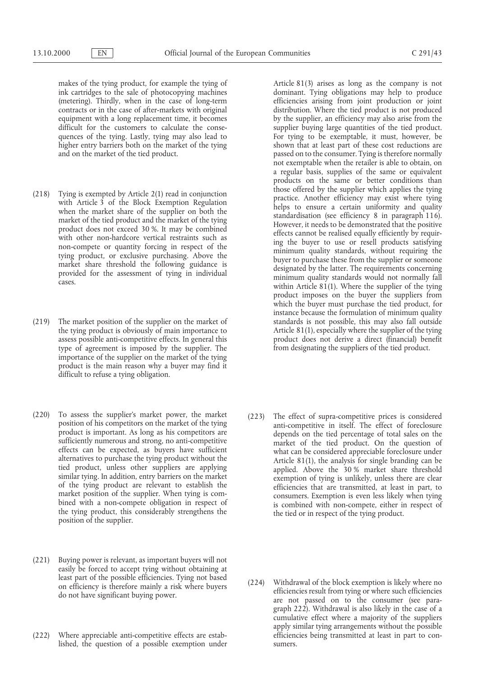makes of the tying product, for example the tying of Article 81(3) arises as long as the company is not

- (218) Tying is exempted by Article 2(1) read in conjunction<br>
with Article 3 of the Block Exemption Regulation<br>
when the market share of the supplier on both the<br>
market of the tied product and the market of the tying<br>
mark
- (219) The market position of the supplier on the market of standards is not possible, this may also fall outside the tying product is obviously of main importance to Article 81(1), especially where the supplier of the tyin the tying product is obviously of main importance to type of agreement is imposed by the supplier. The importance of the supplier on the market of the tying product is the main reason why a buyer may find it difficult to refuse a tying obligation.
- (220) To assess the supplier's market power, the market  $(223)$  The effect of supra-competitive prices is considered product is important. As long as his competitive suppliering anti-competitive in itself. The effect of f
- (221) Buying power is relevant, as important buyers will not easily be forced to accept tying without obtaining at
- lished, the question of a possible exemption under sumers.

ink cartridges to the sale of photocopying machines dominant. Tying obligations may help to produce (metering). Thirdly, when in the case of long-term efficiencies arising from joint production or joint contracts or in the case of after-markets with original distribution. Where the tied product is not produced equipment with a long replacement time, it becomes by the supplier, an efficiency may also arise from the difficult for the customers to calculate the conse- supplier buying large quantities of the tied product. quences of the tying. Lastly, tying may also lead to For tying to be exemptable, it must, however, be higher entry barriers both on the market of the tying shown that at least part of these cost reductions are and on the market of the tied product. **passed on to the consumer**. Tying is therefore normally not exemptable when the retailer is able to obtain, on a regular basis, supplies of the same or equivalent products on the same or better conditions than product imposes on the buyer the suppliers from which the buyer must purchase the tied product, for instance because the formulation of minimum quality standards is not possible, this may also fall outside assess possible anti-competitive effects. In general this product does not derive a direct (financial) benefit type of agreement is imposed by the supplier. The from designating the suppliers of the tied product.

- 
- least part of the possible efficiencies. Tying not based<br>on efficiency is therefore mainly a risk where buyers<br>do not have significant buying power.<br>do not have significant buying power.<br>are not passed on to the consumer ( graph 222). Withdrawal is also likely in the case of a cumulative effect where a majority of the suppliers apply similar tying arrangements without the possible (222) Where appreciable anti-competitive effects are estab- efficiencies being transmitted at least in part to con-